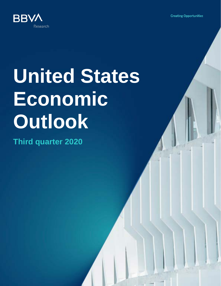**Creating Opportunities** 



# **United States Economic Outlook**

**Third quarter 2020**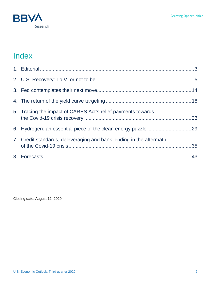

# Index

| 5. Tracing the impact of CARES Act's relief payments towards        |  |
|---------------------------------------------------------------------|--|
|                                                                     |  |
| 7. Credit standards, deleveraging and bank lending in the aftermath |  |
|                                                                     |  |

Closing date: August 12, 2020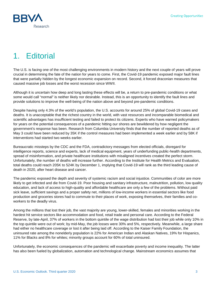

# <span id="page-2-0"></span>1. Editorial

The U.S. is facing one of the most challenging environments in modern history and the next couple of years will prove crucial in determining the fate of the nation for years to come. First, the Covid-19 pandemic exposed major fault lines that were partially hidden by the longest economic expansion on record. Second, it forced draconian measures that caused massive job losses and the worst recession since WWII.

Although it is uncertain how deep and long lasting these effects will be, a return to pre-pandemic conditions or what some would call "normal" is neither likely nor desirable. Instead, this is an opportunity to identify the fault lines and provide solutions to improve the well-being of the nation above and beyond pre-pandemic conditions.

Despite having only 4.3% of the world's population, the U.S. accounts for around 25% of global Covid-19 cases and deaths. It is unacceptable that the richest country in the world, with vast resources and incomparable biomedical and scientific advantages has insufficient testing and failed to protect its citizens. Experts who have warned policymakers for years on the potential consequences of a pandemic hitting our shores are bewildered by how negligent the government's response has been. Research from Columbia University finds that the number of reported deaths as of May 3 could have been reduced by 35K if the control measures had been implemented a week earlier and by 58K if interventions had started two weeks earlier.

Bureaucratic missteps by the CDC and the FDA, contradictory messages from elected officials, disregard for intelligence reports, science and experts, lack of medical equipment, years of underfunding public-health departments, spread of misinformation, and private healthcare institutions with misaligned incentives created the perfect storm. Unfortunately, the number of deaths will increase further. According to the Institute for Health Metrics and Evaluation, total deaths could reach 205K to 524K by December 1, implying that Covid-19 will rank as the third leading cause of death in 2020, after heart disease and cancer.

The pandemic exposed the depth and severity of systemic racism and social injustice. Communities of color are more likely to get infected and die from Covid-19. Poor housing and sanitary infrastructure, malnutrition, pollution, low quality education, and lack of access to high-quality and affordable healthcare are only a few of the problems. Without paid sick leave, sufficient savings and a proper safety net, millions of low-income workers in essential sectors like food production and groceries stores had to commute to their places of work, exposing themselves, their families and coworkers to the deadly virus.

Among the millions that lost their job, the vast majority are young, lower-skilled, females and minorities working in the hardest hit service sectors like accommodation and food, retail trade and personal care. According to the Federal Reserve, by late-April, 37% of workers in the bottom quintile of the wage distribution had lost their job while only 10% in the top quintile were out of work; by mid-May, the job losses were 30% and 5%, respectively. Meanwhile, a large share had either no healthcare coverage or lost it after being laid off. According to the Kaiser Family Foundation, the uninsured rate among the nonelderly population is 22% for American Indian and Alaskan Natives, 19% for Hispanics, 11% for Blacks and 8% for whites; minority groups account for 60% of total uninsured.

Unfortunately, the economic consequences of the pandemic will exacerbate poverty and income inequality. The latter has also been fueled by globalization, automation and technological change. Mainstream economics assumes that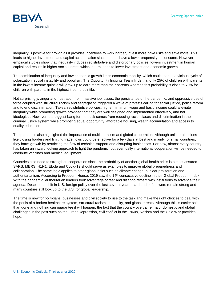

inequality is positive for growth as it provides incentives to work harder, invest more, take risks and save more. This leads to higher investment and capital accumulation since the rich have a lower propensity to consume. However, empirical studies show that inequality induces redistributive and distortionary policies, lowers investment in human capital and results in higher social unrest, which in turn leads to lower investment and economic growth.

The combination of inequality and low economic growth limits economic mobility, which could lead to a vicious cycle of polarization, social instability and populism. The Opportunity Insights Team finds that only 25% of children with parents in the lowest income quintile will grow up to earn more than their parents whereas this probability is close to 70% for children with parents in the highest income quintile.

Not surprisingly, anger and frustration from massive job losses, the persistence of the pandemic, and oppressive use of force coupled with structural racism and segregation triggered a wave of protests calling for social justice, police reform and to end discrimination. Taxes, redistributive policies, higher minimum wage and basic income could alleviate inequality while promoting growth provided that they are well designed and implemented effectively, and not ideological. However, the biggest bang for the buck comes from reducing racial biases and discrimination in the criminal justice system while promoting equal opportunity, affordable housing, wealth accumulation and access to quality education.

The pandemic also highlighted the importance of multilateralism and global cooperation. Although unilateral actions like closing borders and limiting trade flows could be effective for a few days at best and mainly for small countries, they harm growth by restricting the flow of technical support and disrupting businesses. For now, almost every country has taken an inward looking approach to fight the pandemic, but eventually international cooperation will be needed to distribute vaccines and medical equipment.

Countries also need to strengthen cooperation since the probability of another global health crisis is almost assured. SARS, MERS, H1N1, Ebola and Covid-19 should serve as examples to improve global preparedness and collaboration. The same logic applies to other global risks such as climate change, nuclear proliferation and authoritarianism. According to Freedom House, 2019 saw the 14<sup>th</sup> consecutive decline in their Global Freedom Index. With the pandemic, authoritarian leaders took advantage of fear and disappointment with institutions to advance their agenda. Despite the shift in U.S. foreign policy over the last several years, hard and soft powers remain strong and many countries still look up to the U.S. for global leadership.

The time is now for politicians, businesses and civil society to rise to the task and make the right choices to deal with the perils of a broken healthcare system, structural racism, inequality, and global threats. Although this is easier said than done and nothing can guarantee it will happen, the fact that the country overcame major domestic and global challenges in the past such as the Great Depression, civil conflict in the 1960s, Nazism and the Cold War provides hope.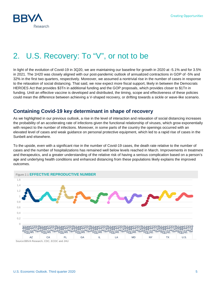

# <span id="page-4-0"></span>2. U.S. Recovery: To "V", or not to be

In light of the evolution of Covid-19 in 3Q20, we are maintaining our baseline for growth in 2020 at -5.1% and for 3.5% in 2021. The 1H20 was closely aligned with our post-pandemic outlook of annualized contractions in GDP of -5% and 32% in the first two quarters, respectively. Moreover, we assumed a nontrivial rise in the number of cases in response to the relaxation of social distancing. That said, we now expect more fiscal support, likely in between the Democrats HEROES Act that provides \$3Tn in additional funding and the GOP proposals, which provides closer to \$1Tn in funding. Until an effective vaccine is developed and distributed, the timing, scope and effectiveness of these policies could mean the difference between achieving a V-shaped recovery, or drifting towards a sickle or wave-like scenario.

# **Containing Covid-19 key determinant in shape of recovery**

As we highlighted in our previous outlook, a rise in the level of interaction and relaxation of social distancing increases the probability of an accelerating rate of infections given the functional relationship of viruses, which grow exponentially with respect to the number of infections. Moreover, in some parts of the country the openings occurred with an elevated level of cases and weak guidance on personal protective equipment, which led to a rapid rise of cases in the Sunbelt and elsewhere.

To the upside, even with a significant rise in the number of Covid-19 cases, the death rate relative to the number of cases and the number of hospitalizations has remained well below levels reached in March. Improvements in treatment and therapeutics, and a greater understanding of the relative risk of having a serious complication based on a person's age and underlying health conditions and enhanced distancing from these populations likely explains the improved outcomes.

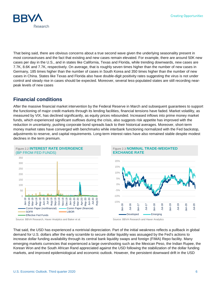

That being said, there are obvious concerns about a true second wave given the underlying seasonality present in most coronaviruses and the fact that existing and new cases remain elevated. For example, there are around 50K new cases per day in the U.S., and in states like California, Texas and Florida, while trending downwards, new cases are 7.7K, 8.6K and 7.7K, respectively. On average, that is roughly seven times higher than the number of new cases in Germany, 185 times higher than the number of cases in South Korea and 350 times higher than the number of new cases in China. States like Texas and Florida also have double-digit positivity rates suggesting the virus is not under control and steady rise in cases should be expected. Moreover, several less-populated states are still recording nearpeak levels of new cases

# **Financial conditions**

After the massive financial market intervention by the Federal Reserve in March and subsequent guarantees to support the functioning of major credit markets through its lending facilities, financial tensions have faded. Market volatility, as measured by VIX, has declined significantly, as equity prices rebounded. Increased inflows into prime money market funds, which experienced significant outflows during the crisis, also suggests risk appetite has improved with the reduction in uncertainty, pushing corporate bond spreads back to their historical averages. Moreover, short-term money market rates have converged with benchmarks while interbank functioning normalized with the Fed backstop, adjustments to reserve, and capital requirements. Long-term interest rates have also remained stable despite modest declines in the term premium.







Source: BBVA Research, Haver Analytics and Baker et al. Source: BBVA Research and Haver Analytics

That said, the USD has experienced a nontrivial depreciation. Part of the initial weakness reflects a pullback in global demand for U.S. dollars after the early scramble to secure dollar liquidity was assuaged by the Fed's actions to increase dollar funding availability through its central bank liquidity swaps and foreign (FIMA) Repo facility. Many emerging markets currencies that experienced a large overshooting such as the Mexican Peso, the Indian Rupee, the Korean Won and the South African Rand appreciated against the USD following the stabilization of the dollar funding markets, and improved epidemiological and economic outlook. However, the persistent downward drift in the USD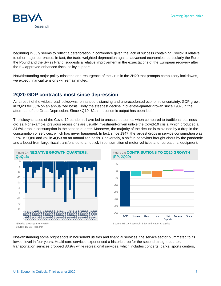

beginning in July seems to reflect a deterioration in confidence given the lack of success containing Covid-19 relative to other major currencies. In fact, the trade-weighted deprecation against advanced economies, particularly the Euro, the Pound and the Swiss Franc, suggests a relative improvement in the expectations of the European recovery after the EU approved enhanced fiscal policy support.

Notwithstanding major policy missteps or a resurgence of the virus in the 2H20 that prompts compulsory lockdowns, we expect financial tensions will remain muted.

### **2Q20 GDP contracts most since depression**

As a result of the widespread lockdowns, enhanced distancing and unprecedented economic uncertainty, GDP growth in 2Q20 fell 33% on an annualized basis, likely the steepest decline in over-the-quarter growth since 1937, in the aftermath of the Great Depression. Since 4Q19, \$2tn in economic output has been lost.

The idiosyncrasies of the Covid-19 pandemic have led to unusual outcomes when compared to traditional business cycles. For example, previous recessions are usually investment-driven unlike the Covid-19 crisis, which produced a 34.6% drop in consumption in the second quarter. Moreover, the majority of the decline is explained by a drop in the consumption of services, which has never happened. In fact, since 1947, the largest drops in service consumption was 2.5% in 2Q80 and 3% in 4Q53 on an annualized basis. Conversely, a shift in behaviors brought about by the pandemic and a boost from large fiscal transfers led to an uptick in consumption of motor vehicles and recreational equipment.





Source: BBVA Research, BEA and Haver Analytics

Notwithstanding some bright spots in household utilities and financial services, the service sector plummeted to its lowest level in four years. Healthcare services experienced a historic drop for the second straight quarter, transportation services dropped 83.9% while recreational services, which includes concerts, parks, sports centers,

<sup>\*</sup>Shaded area=quarterly GNP Source: BBVA Research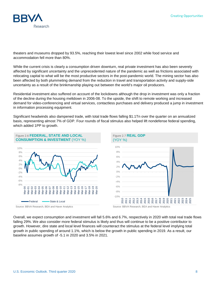

theaters and museums dropped by 93.5%, reaching their lowest level since 2002 while food service and accommodation fell more than 80%.

While the current crisis is clearly a consumption driven downturn, real private investment has also been severely affected by significant uncertainty and the unprecedented nature of the pandemic as well as frictions associated with relocating capital to what will be the most productive sectors in the post-pandemic world. The mining sector has also been affected by both plummeting demand from the reduction in travel and transportation activity and supply-side uncertainty as a result of the brinkmanship playing out between the world's major oil producers.

Residential investment also suffered on account of the lockdowns although the drop in investment was only a fraction of the decline during the housing meltdown in 2006-08. To the upside, the shift to remote working and increased demand for video-conferencing and virtual services, contactless purchases and delivery produced a jump in investment in information processing equipment.

Significant headwinds also dampened trade, with total trade flows falling \$1.1Tn over the quarter on an annualized basis, representing almost 7% of GDP. Four rounds of fiscal stimulus also helped lift nondefense federal spending, which added 1PP to growth.



Overall, we expect consumption and investment will fall 5.6% and 6.7%, respectively in 2020 with total real trade flows falling 29%. We also consider more federal stimulus is likely and thus will continue to be a positive contributor to growth. However, dire state and local level finances will counteract the stimulus at the federal level implying total growth in public spending of around 1.1%, which is below the growth in public spending in 2019. As a result, our baseline assumes growth of -5.1 in 2020 and 3.5% in 2021.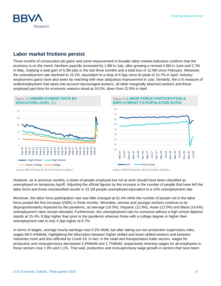### **Creating Opportunities**

# **Labor market frictions persist**

Three months of consecutive job gains and some improvement in broader labor market indicators confirms that the economy is on the mend. Nonfarm payrolls increased by 1.8M in July, after growing a revised 4.8M in June and 2.7M in May, implying a total gain of 9.3M jobs in the last three months and a total loss of 12.9M since February. Moreover, the unemployment rate declined to 10.2%, equivalent to a drop of 4.5pp since its peak of 14.7% in April. Industry employment gains have also been far reaching with near ubiquitous improvement in July. Similarly, the U-6 measure of underemployment that takes into account discouraged workers, all other marginally attached workers and those employed part-time for economic reasons stood at 16.5%, down from 22.8% in April.

### Figure 2.8 **UNEMPLOYMENT RATE BY EDUCATION LEVEL** (%)

Source: BBVA Research, BLS and Haver Analytics Source: BBVA Research, BLS and Haver Analytics

< High School - High School Some College **College** 

0

 $=$ e $b-10$ Aug-10  $\frac{1}{10}$ Aug-11 Feb-12 Aug-12 Feb-13 Aug-13 Feb-14 Aug-14 Feb-15 Aug-15 Feb-16 Aug-16 Feb-17 Aug-17 Feb-18 Aug-18  $=$ eb-19 $=$ Aug-19 Feb-20

However, as in previous months, a share of people employed but not at work should have been classified as

disproportionately impacted by the pandemic, as teenage (19.3%), Hispanic (12.9%), Asian (12.0%) and Black (14.6%) unemployment rates remain elevated. Furthermore, the unemployment rate for someone without a high school diploma stands at 15.4%, 8.6pp higher than prior to the pandemic whereas those with a college degree or higher their unemployment rate is only 4.2pp higher at 6.7%.

In terms of wages, average hourly earnings rose 0.2% MoM, but after taking out non-production supervisory roles, wages fell 0.4%MoM, highlighting the bifurcation between higher-skilled and lower-skilled workers and between industries more and less affected by Covid-19. In fact, in the retail and transportation trade sectors, wages for production and nonsupervisory decreased 3.4%MoM and 1.7%MoM, respectively whereas wages for all employees in those sectors rose 1.9% and 1.1%. That said, production and nonsupervisory wage growth in sectors that have been









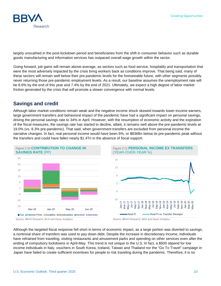

largely unscathed in the post-lockdown period and beneficiaries from the shift in consumer behavior such as durable goods manufacturing and information services has outpaced overall wage growth within the sector.

Going forward, job gains will remain above-average, as sectors such as food service, hospitality and transportation that were the most adversely impacted by the crisis bring workers back as conditions improve. That being said, many of these sectors will remain well below their pre-pandemic levels for the foreseeable future, with other segments possibly never returning those pre-pandemic employment levels. As a result, our baseline assumes the unemployment rate will be 8.6% by the end of this year and 7.4% by the end of 2021. Ultimately, we expect a high degree of labor market friction generated by the crisis that will promote a slower convergence with normal levels.

### **Savings and credit**

Although labor market conditions remain weak and the negative income shock skewed towards lower-income earners, large government transfers and behavioral impact of the pandemic have had a significant impact on personal savings, driving the personal savings rate to 34% in April. However, with the resumption of economic activity and the expiration of the fiscal measures, the savings rate has started to decline, albeit, it remains well above the pre-pandemic levels at 19.0% (vs. 8.3% pre-pandemic). That said, when government transfers are excluded from personal income the narrative changes. In fact, real personal income would have been 6%, or \$836Bn below its pre-pandemic peak without the transfers and could have fallen nearly \$1.4Tn in the absence of fiscal support.







Although the targeted fiscal response fell short in terms of economic impact, as a large portion was diverted to savings, a nontrivial share of transfers was used to pay down debt. Despite the increase in discretionary income, individuals have refrained from traveling, visiting restaurants and amusement parks and spending on other services even after the ending of compulsory lockdowns in April-May. This trend is not unique to the U.S. In fact, a \$500 stipend for low income individuals in Italy, vouchers in South Korea, Iceland, Taiwan and Thailand nor the "Go To Travel" campaign in Japan have failed to create sufficient incentives for people to risk traveling during the pandemic. Therefore, it is no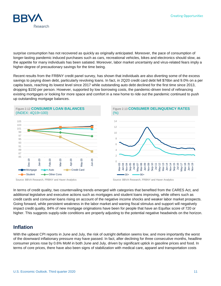

surprise consumption has not recovered as quickly as originally anticipated. Moreover, the pace of consumption of longer-lasting pandemic induced purchases such as cars, recreational vehicles, bikes and electronics should slow, as the appetite for many individuals has been satiated. Moreover, labor market uncertainty and virus-related fears imply a higher-degree of precautionary savings for the time being.

Recent results from the FRBNY credit panel survey, has shown that individuals are also diverting some of the excess savings to paying down debt, particularly revolving loans. In fact, in 2Q20 credit card debt fell \$76bn and 9.0% on a per capita basis, reaching its lowest level since 2017 while outstanding auto debt declined for the first time since 2013, dropping \$150 per person. However, supported by low borrowing costs, the pandemic-driven trend of refinancing existing mortgages or looking for more space and comfort in a new home to ride out the pandemic continued to push up outstanding mortgage balances.





Source: BBVA Research, FRBNY and Haver Analytics Source: BBVA Research, FRBNY and Haver Analytics

In terms of credit quality, two countervailing trends emerged with categories that benefited from the CARES Act, and additional legislative and executive actions such as mortgages and student loans improving, while others such as credit cards and consumer loans rising on account of the negative income shocks and weaker labor market prospects. Going forward, while persistent weakness in the labor market and waning fiscal stimulus and support will negatively impact credit quality, 84% of new mortgage originations have been for people that have an Equifax score of 720 or higher. This suggests supply-side conditions are properly adjusting to the potential negative headwinds on the horizon.

### **Inflation**

With the upbeat CPI reports in June and July, the risk of outright deflation seems low, and more importantly the worst of the downward inflationary pressure may have passed. In fact, after declining for three consecutive months, headline consumer prices rose by 0.6% MoM in both June and July, driven by significant uptick in gasoline prices and food. In terms of core prices, there have also been signs of stabilization with medical care, apparel and transportation costs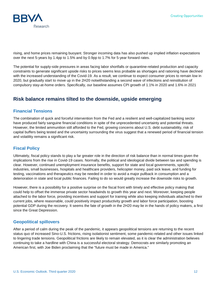

rising, and home prices remaining buoyant. Stronger incoming data has also pushed up implied inflation expectations over the next 5-years by 1.4pp to 1.5% and by 0.9pp to 1.7% for 5-year forward rates.

The potential for supply-side pressures in areas facing labor shortfalls or quarantine-related production and capacity constraints to generate significant upside risks to prices seems less probable as shortages and rationing have declined with the increased understanding of the Covid-19. As a result, we continue to expect consumer prices to remain low in 2020, but gradually start to move up in the 2H20 notwithstanding a second wave of infections and reinstitution of compulsory stay-at-home orders. Specifically, our baseline assumes CPI growth of 1.1% in 2020 and 1.6% in 2021

# **Risk balance remains tilted to the downside, upside emerging**

### **Financial Tensions**

The combination of quick and forceful intervention from the Fed and a resilient and well-capitalized banking sector have produced fairly sanguine financial conditions in spite of the unprecedented uncertainty and potential threats. However, the limited ammunition still afforded to the Fed, growing concerns about U.S. debt sustainability, risk of capital buffers being tested and the uncertainty surrounding the virus suggest that a renewed period of financial tension and volatility remains a significant risk.

### **Fiscal Policy**

Ultimately, fiscal policy stands to play a far greater role in the direction of risk balance than in normal times given the implications from the rise in Covid-19 cases. Normally, the political and ideological divide between tax and spending is clear. However, continued unemployment insurance benefits, support for state and local governments, specific industries, small businesses, hospitals and healthcare providers, helicopter money, paid sick leave, and funding for testing, vaccinations and therapeutics may be needed in order to avoid a major pullback in consumption and a deterioration in state and local public finances. Failing to do so would greatly increase the downside risks to growth.

However, there is a possibility for a positive surprise on the fiscal front with timely and effective policy making that could help to offset the immense private sector headwinds to growth this year and next. Moreover, keeping people attached to the labor force, providing incentives and support for training while also keeping individuals attached to their current jobs, where reasonable, could positively impact productivity growth and labor force participation, boosting potential GDP during the recovery. It seems the fate of growth in the 2H20 may lie in the hands of policy makers, a first since the Great Depression.

### **Geopolitical spillovers**

After a period of calm during the peak of the pandemic, it appears geopolitical tensions are returning to the recent status quo of increased Sino-U.S. frictions, rising isolationist sentiment, some pandemic-related and other issues linked to lingering trade tensions. Geopolitical frictions are likely to remain elevated, as it is clear the administration believes continuing to take a hardline with China is a successful electoral strategy. Democrats are similarly promoting an American first, with Joe Biden proclaiming that the "future must be made in America."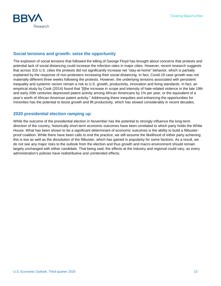

### **Social tensions and growth: seize the opportunity**

The explosion of social tensions that followed the killing of George Floyd has brought about concerns that protests and potential lack of social distancing could increase the infection rates in major cities. However, recent research suggests that across 315 U.S. cities the protests did not significantly increase net "stay-at-home" behavior, which is partially explained by the response of non-protesters increasing their social distancing. In fact, Covid-19 case growth was not materially different three weeks following the protests. However, the underlying tensions associated with persistent inequality and systemic racism remain a risk to U.S. growth, productivity, innovation and living standards. In fact, an empirical study by Cook (2014) found that "[t]he increase in scope and intensity of hate-related violence in the late 19th and early 20th centuries depressed patent activity among African Americans by 1% per year, or the equivalent of a year's worth of African American patent activity." Addressing these inequities and enhancing the opportunities for minorities has the potential to boost growth and lift productivity, which has slowed considerably in recent decades.

### **2020 presidential election ramping up**

While the outcome of the presidential election in November has the potential to strongly influence the long-term direction of the country, historically short-term economic outcomes have been unrelated to which party holds the White House. What has been shown to be a significant determinant of economic outcomes is the ability to build a filibusterproof coalition. While there have been calls to end the practice, we still assume the likelihood of either party achieving this is low as well as the dissolution of the filibuster, which has gained in popularity for some factions. As a result, we do not see any major risks to the outlook from the election and thus growth and macro environment should remain largely unchanged with either candidate. That being said, the effects at the industry and regional could vary, as every administration's policies have redistributive and unintended effects.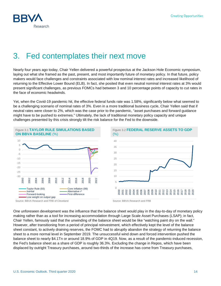

# <span id="page-13-0"></span>3. Fed contemplates their next move

Nearly four years ago today, Chair Yellen delivered a powerful prospectus at the Jackson Hole Economic symposium, laying out what she framed as the past, present, and most importantly future of monetary policy. In that future, policy makers would face challenges and constraints associated with low nominal interest rates and increased likelihood of returning to the Effective Lower Bound (ELB). In fact, she posited that even neutral nominal interest rates at 3% would present significant challenges, as previous FOMCs had between 3 and 10 percentage points of capacity to cut rates in the face of economic headwinds.

Yet, when the Covid-19 pandemic hit, the effective federal funds rate was 1.58%, significantly below what seemed to be a challenging scenario of nominal rates of 3%. Even in a more traditional business cycle, Chair Yellen said that if neutral rates were closer to 2%, which was the case prior to the pandemic, "asset purchases and forward guidance might have to be pushed to extremes." Ultimately, the lack of traditional monetary policy capacity and unique challenges presented by this crisis strongly tilt the risk balance for the Fed to the downside.



Source: BBVA Research and FRB of Cleveland Source: BBVA Research and FRB

One unforeseen development was the influence that the balance sheet would play in the day-to-day of monetary policy making rather than as a tool for increasing accommodation through Large Scale Asset Purchases (LSAP); in fact, Chair Yellen, famously said that the unwinding of the balance sheet would be like "watching paint dry on the wall." However, after transitioning from a period of principal reinvestment, which effectively kept the level of the balance sheet constant, to actively draining reserves, the FOMC had to abruptly abandon the strategy of returning the balance sheet to a more normal level in September 2019. The unsuccessful wind down and forced intervention pushed the balance sheet to nearly \$4.1Tn or around 18.9% of GDP in 4Q19. Now, as a result of the pandemic-induced recession, the Fed's balance sheet as a share of GDP is roughly 36.3%. Excluding the change in Repos, which have been displaced by outright Treasury purchases, around two-thirds of the increase has come from Treasury purchases,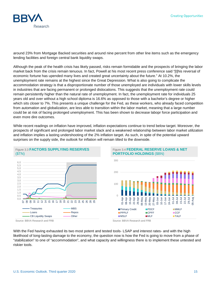

around 23% from Mortgage Backed securities and around nine percent from other line items such as the emergency lending facilities and foreign central bank liquidity swaps.

Although the peak of the health crisis has likely passed, risks remain formidable and the prospects of bringing the labor market back from the crisis remain tenuous. In fact, Powell at his most recent press conference said "[t]his reversal of economic fortune has upended many lives and created great uncertainty about the future." At 10.2%, the unemployment rate remains at the highest since the Great Depression. What is also going to complicate the accommodation strategy is that a disproportionate number of those unemployed are individuals with lower skills levels in industries that are facing permanent or prolonged dislocations. This suggests that the unemployment rate could remain persistently higher than the natural rate of unemployment. In fact, the unemployment rate for individuals 25 years old and over without a high school diploma is 16.6% as opposed to those with a bachelor's degree or higher which sits closer to 7%. This presents a unique challenge for the Fed, as these workers, who already faced competition from automation and globalization, are less able to transition within the labor market, meaning that a large number could be at risk of facing prolonged unemployment. This has been shown to decrease labopr force participation and even more dire outcomes.

While recent readings on inflation have improved, inflation expectations continue to trend below target. Moreover, the prospects of significant and prolonged labor market slack and a weakened relationship between labor market utilization and inflation implies a lasting undershooting of the 2% inflation target. As such, in spite of the potential upward surprises on the supply side, the outlook for inflation will remain tilted to the downside.



### Figure 3.4 **FEDERAL RESERVE LOANS & NET PORTFOLIO HOLDINGS** (\$BN)



With the Fed having exhausted its two most potent and tested tools-LSAP and interest rates- and with the high likelihood of long-lasting damage to the economy, the question now is how the Fed is going to move from a phase of "stabilization" to one of "accommodation", and what capacity and willingness there is to implement these untested and riskier tools.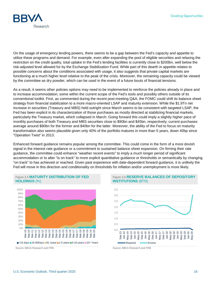

On the usage of emergency lending powers, there seems to be a gap between the Fed's capacity and appetite to utilize these programs and demand. For example, even after expanding the pool of eligible securities and relaxing the restriction on the credit quality, total uptake in the Fed's lending facilities is currently close to \$200bn, well below the risk-adjusted level allowed for by the Exchange Stabilization Fund. While part of this dearth in appetite relates to possible concerns about the conditions associated with usage, it also suggests that private capital markets are functioning at a much higher level relative to the peak of the crisis. Moreover, the remaining capacity could be viewed by the committee as dry powder, which can be used in the event of a future bouts of financial tensions.

As a result, it seems other policies options may need to be implemented to reinforce the policies already in place and to increase accommodation; some within the current scope of the Fed's tools and possibly others outside of its conventional toolkit. First, as commented during the recent post-meeting Q&A, the FOMC could shift its balance sheet strategy from financial stabilization to a more macro-oriented LSAP and maturity extension. While the \$1.9Tn net increase in securities (Treasury and MBS) held outright since March seems to be consistent with targeted LSAP, the Fed has been explicit in its characterization of those purchases as mostly directed at stabilizing financial markets, particularly the Treasury market, which collapsed in March. Going forward this could imply a slightly higher pace of monthly purchases of both Treasury and MBS securities close to \$90bn and \$45bn, respectively; current purchases average around \$80bn for the former and \$40bn for the latter. Moreover, the ability of the Fed to focus on maturity transformation also seems plausible given only 40% of the portfolio matures in more than 5 years, down 40bp since "Operation Twist" in 2013.

Enhanced forward guidance remains popular among the committee. This could come in the form of a more dovish signal in the interest rate guidance or a commitment to sustained balance sheet expansion. On firming their rate guidance, the committee could enhance "weather recent events" to imply a much longer period of significant accommodation or to alter "is on track" to more explicit quantitative guidance or thresholds or semantically by changing "on track" to has achieved or reached. Given past experience with date-dependent forward guidance, it is unlikely the Fed will move in this direction and conditionality on thresholds for inflation and/or unemployment is more likely.



Figure 3.5 **MATURITY DISTRIBUTION OF FED** 

Figure 3.6 **RESERVE BALANCES OF DEPOSITORY INSTITUTIONS** (\$TN)

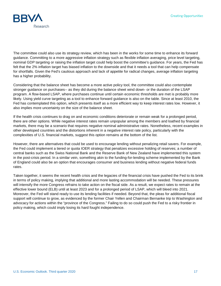

The committee could also use its strategy review, which has been in the works for some time to enhance its forward guidance. Committing to a more aggressive inflation strategy such as flexible inflation averaging, price level targeting, nominal GDP targeting or raising the inflation target could help boost the committee's guidance. For years, the Fed has felt that the 2% inflation target has biased inflation to the downside and that it needs a tool that can help compensate for shortfalls. Given the Fed's cautious approach and lack of appetite for radical changes, average inflation targeting has a higher probability.

Considering that the balance sheet has become a more active policy tool, the committee could also contemplate stronger guidance on purchases-- as they did during the balance sheet wind down- or the duration of the LSAP program. A flow-based LSAP, where purchases continue until certain economic thresholds are met is probably more likely. Using yield curve targeting as a tool to enhance forward guidance is also on the table. Since at least 2010, the Fed has contemplated this option, which presents itself as a more efficient way to keep interest rates low. However, it also implies more uncertainty on the size of the balance sheet.

If the health crisis continues to drag on and economic conditions deteriorate or remain weak for a prolonged period, there are other options. While negative interest rates remain unpopular among the members and loathed by financial markets, there may be a scenario that requires negative nominal administrative rates. Nonetheless, recent examples in other developed countries and the distortions inherent in a negative interest rate policy, particularly with the complexities of U.S. financial markets, suggest this option remains at the bottom of the list.

However, there are alternatives that could be used to encourage lending without penalizing retail savers. For example, the Fed could implement a tiered or quota IOER strategy that penalizes excessive holding of reserves; a number of central banks such as the Swiss National Bank and the Reserve Bank of New Zealand have implemented this system in the post-crisis period. In a similar vein, something akin to the funding-for-lending scheme implemented by the Bank of England could also be an option that encourages consumer and business lending without negative federal funds rates.

Taken together, it seems the recent health crisis and the legacies of the financial crisis have pushed the Fed to its brink in terms of policy making, implying that additional and more lasting accommodation will be needed. These pressures will intensify the more Congress refrains to take action on the fiscal side. As a result, we expect rates to remain at the effective lower bound (ELB) until at least 2023 and for a prolonged period of LSAP, which will bleed into 2021. Moreover, the Fed will stand ready to use its lending facilities if needed. Beyond that, the pleas for additional fiscal support will continue to grow, as evidenced by the former Chair Yellen and Chairman Bernanke trip to Washington and advocacy for actions within the "province of the Congress." Failing to do so could push the Fed to a risky frontier in policy making, which could imply losing its hard fought independence.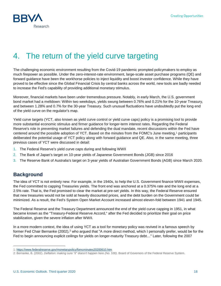

# <span id="page-17-0"></span>4. The return of the yield curve targeting

The challenging economic environment resulting from the Covid-19 pandemic prompted policymakers to employ as much firepower as possible. Under the zero-interest-rate environment, large-scale asset purchase programs (QE) and forward guidance have been the workhorse policies to inject liquidity and boost investor confidence. While they have proved to be effective since the Global Financial Crisis by central banks across the world, new tools are badly needed to increase the Fed's capability of providing additional monetary stimulus.

Moreover, financial markets have been under tremendous pressure. Notably, in early March, the U.S. government bond market had a meltdown: Within two weekdays, yields swung between 0.76% and 0.21% for the 10-year Treasury, and between 1.28% and 0.7% for the 30-year Treasury. Such unusual fluctuations have undoubtedly put the long end of the yield curve on the regulator's map.

Yield curve targets (YCT, also known as yield curve control or yield curve caps) policy is a promising tool to provide more substantial economic stimulus and firmer guidance for longer-term interest rates. Regarding the Federal Reserve's role in preventing market failures and defending the dual mandate, recent discussions within the Fed have centered around the possible adoption of YCT. Based on the minutes from the FOMC's June meeting,<sup>[1](#page-17-1)</sup> participants deliberated the potential usage of YCT policy along with forward guidance and QE. Also, in the same meeting, three previous cases of YCT were discussed in detail:

- 1. The Federal Reserve's yield curve caps during and following WWII
- 2. The Bank of Japan's target on 10-year yields of Japanese Government Bonds (JGB) since 2016
- 3. The Reserve Bank of Australia's target on 3-year yields of Australian Government Bonds (AGB) since March 2020.

# **Background**

-

The idea of YCT is not entirely new. For example, in the 1940s, to help the U.S. Government finance WWII expenses, the Fed committed to capping Treasuries yields. The front end was anchored at a 0.375% rate and the long end at a 2.5% rate. That is, the Fed promised to clear the market at pre-set yields. In this way, the Federal Reserve ensured that new treasuries would not be sold at heavily discounted prices, and the debt burden on the Government could be minimized. As a result, the Fed's System Open Market Account increased almost eleven-fold between 1941 and 1945.

The Federal Reserve and the Treasury Department announced the end of the yield curve capping in 1951, in what became known as the "Treasury-Federal Reserve Accord," after the Fed decided to prioritize their goal on price stabilization, given the severe inflation after WWII.

In a more modern context, the idea of using YCT as a tool for monetary policy was revived in a famous speech by former Fed Chair Bernanke ([2](#page-17-2)002),<sup>2</sup> who argued that "A more direct method, which I personally prefer, would be for the Fed to begin announcing explicit ceilings for yields on longer-maturity Treasury debt…" Later, following the 2007

<span id="page-17-1"></span><sup>1</sup>[: https://www.federalreserve.gov/monetarypolicy/fomcminutes20200610.htm](https://www.federalreserve.gov/monetarypolicy/fomcminutes20200610.htm)

<span id="page-17-2"></span><sup>2:</sup> Bernanke, B. (2002). *Deflation: making sure "it" doesn't happen here (No. 530)*. Board of Governors of the Federal Reserve System.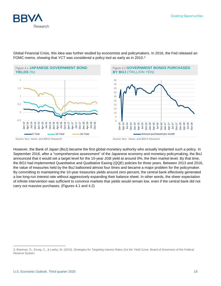

Global Financial Crisis, this idea was further studied by economists and policymakers. In 2016, the Fed released an FOMC memo, showing that YCT was considered a policy tool as early as in 2010.<sup>[3](#page-18-0)</sup>



Source: BoJ, Haver, and BBVA Research Source: BoJ, Haver, and BBVA Research

However, the Bank of Japan (BoJ) became the first global monetary authority who actually implanted such a policy. In September 2016, after a "comprehensive assessment" of the Japanese economy and monetary policymaking, the BoJ announced that it would set a target level for the 10-year JGB yield at around 0%, the then market level. By that time, the BOJ had implemented Quantitative and Qualitative Easing (QQE) policies for three years. Between 2013 and 2016, the value of treasuries held by the BoJ ballooned almost four times and became a major problem for the policymaker. By committing to maintaining the 10-year treasuries yields around zero percent, the central bank effectively generated a low long-run interest rate without aggressively expanding their balance sheet. In other words, the sheer expectation of infinite intervention was sufficient to convince markets that yields would remain low, even if the central bank did not carry out massive purchases. (Figures 4.1 and 4.2)

-

<span id="page-18-0"></span><sup>3:</sup> Bowman, D., Erceg, C., & Leahy, M. (2010). *Strategies for Targeting Interest Rates Out the Yield Curve*. Board of Governors of the Federal Reserve System.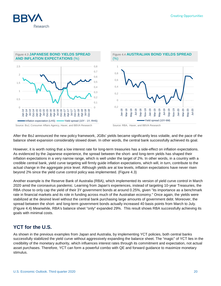

# Figure 4.3 **JAPANESE BOND YIELDS SPREAD**

**AND INFLATION EXPECTATIONS** (%)





After the BoJ announced the new policy framework, JGBs' yields became significantly less volatile, and the pace of the balance sheet expansion considerably slowed down. In other words, the central bank successfully achieved its goal.

However, it is worth noting that a low interest rate for long-term treasuries has a side-effect on inflation expectations. As evidenced by the Japanese experience, the spread between the short- and long-term yields has shaped their inflation expectations in a very narrow range, which is well under the target of 2%. In other words, in a country with a credible central bank, yield curve targeting will firmly guide inflation expectations, which will, in turn, contribute to the actual change in the aggregate price level. Although yields are at low levels, inflation expectations have never risen beyond 2% since the yield curve control policy was implemented. (Figure 4.3)

Another example is the Reserve Bank of Australia (RBA), which implemented its version of yield curve control in March 2020 amid the coronavirus pandemic. Learning from Japan's experiences, instead of targeting 10-year Treasuries, the RBA chose to only cap the yield of their 3Y government bonds at around 0.25%, given "its importance as a benchmark rate in financial markets and its role in funding across much of the Australian economy." Once again, the yields were stabilized at the desired level without the central bank purchasing large amounts of government debt. Moreover, the spread between the short- and long-term government bonds actually increased 40 basis points from March to July. (Figure 4.4) Meanwhile, RBA's balance sheet "only" expanded 29%. This result shows RBA successfully achieving its goals with minimal costs.

# **YCT for the U.S.**

As shown in the previous examples from Japan and Australia, by implementing YCT policies, both central banks successfully stabilized the yield curve without aggressively expanding the balance sheet. The "magic" of YCT lies in the credibility of the monetary authority, which influences interest rates through its commitment and expectation, not actual asset purchases. Therefore, YCT can form a powerful combo with QE and forward guidance to maximize monetary stimulus.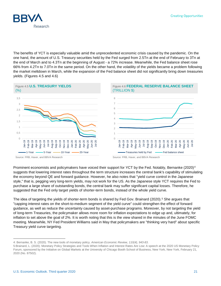

The benefits of YCT is especially valuable amid the unprecedented economic crisis caused by the pandemic. On the one hand, the amount of U.S. Treasury securities held by the Fed surged from 2.5Tn at the end of February to 3Tn at the end of March and to 4.3Tn at the beginning of August - a 72% increase. Meanwhile, the Fed balance sheet rose 66% from 4.2Tn to 7.0Tn in the same period. On the other hand, the volatility of the yields became a problem following the market meltdown in March, while the expansion of the Fed balance sheet did not significantly bring down treasuries yields. (Figures 4.5 and 4.6)



Prominent economists and policymakers have voiced their support for YCT by the Fed. Notably, Bernanke (2020)<sup>[4](#page-20-0)</sup> suggests that lowering interest rates throughout the term structure increases the central bank's capability of stimulating the economy beyond QE and forward guidance. However, he also notes that "yield curve control in the Japanese style," that is, pegging very long-term yields, may not work for the US. As the Japanese style YCT requires the Fed to purchase a large share of outstanding bonds, the central bank may suffer significant capital losses. Therefore, he suggested that the Fed only target yields of shorter-term bonds, instead of the whole yield curve.

The idea of targeting the yields of shorter-term bonds is shared by Fed Gov. Brainard (2020).<sup>[5](#page-20-1)</sup> She argues that "capping interest rates on the short-to-medium segment of the yield curve" could strengthen the effect of forward guidance, as well as reduce the uncertainty caused by asset-purchase programs. Moreover, by not targeting the yield of long-term Treasuries, the policymaker allows more room for inflation expectations to edge up and, ultimately, for inflation to set above the goal of 2%. It is worth noting that this is the view shared in the minutes of the June FOMC meeting. Meanwhile, NY Fed President Williams said in May that policymakers are "thinking very hard" about specific Treasury yield curve targeting.

j

<span id="page-20-0"></span><sup>4:</sup> Bernanke, B. S. (2020). The new tools of monetary policy. *American Economic Review, 110(4), 943-83*.

<span id="page-20-1"></span><sup>5:</sup>Brainard, L. (2020). Monetary Policy Strategies and Tools When Inflation and Interest Rates Are Low: A speech at the 2020 US Monetary Policy Forum, sponsored by the Initiative on Global Markets at the University of Chicago Booth School of Business, New York, New York, February 21, 2020 (No. 87502).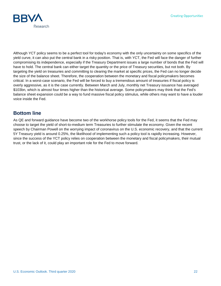

Although YCT policy seems to be a perfect tool for today's economy with the only uncertainty on some specifics of the yield curve, it can also put the central bank in a risky position. That is, with YCT, the Fed will face the danger of further compromising its independence, especially if the Treasury Department issues a large number of bonds that the Fed will have to hold. The central bank can either target the quantity or the price of Treasury securities, but not both. By targeting the yield on treasuries and committing to clearing the market at specific prices, the Fed can no longer decide the size of the balance sheet. Therefore, the cooperation between the monetary and fiscal policymakers becomes critical. In a worst-case scenario, the Fed will be forced to buy a tremendous amount of treasuries if fiscal policy is overly aggressive, as it is the case currently. Between March and July, monthly net Treasury issuance has averaged \$103bn, which is almost four times higher than the historical average. Some policymakers may think that the Fed's balance sheet expansion could be a way to fund massive fiscal policy stimulus, while others may want to have a louder voice inside the Fed.

# **Bottom line**

As QE and forward guidance have become two of the workhorse policy tools for the Fed, it seems that the Fed may choose to target the yield of short-to-medium term Treasuries to further stimulate the economy. Given the recent speech by Chairman Powell on the worrying impact of coronavirus on the U.S. economic recovery, and that the current 5Y Treasury yield is around 0.25%, the likelihood of implementing such a policy tool is rapidly increasing. However, since the success of the YCT policy relies on cooperation between the monetary and fiscal policymakers, their mutual trust, or the lack of it, could play an important role for the Fed to move forward.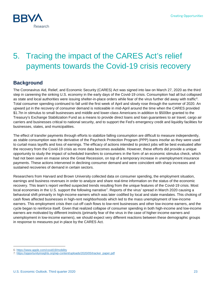

# <span id="page-22-0"></span>5. Tracing the impact of the CARES Act's relief payments towards the Covid-19 crisis recovery

# **Background**

The Coronavirus Aid, Relief, and Economic Security (CARES) Act was signed into law on March 27, 2020 as the third step in careening the sinking U.S. economy in the early days of the Covid-19 crisis. Consumption had all but collapsed as state and local authorities were issuing shelter-in-place orders while fear of the virus further did away with traffic<sup>[6](#page-22-1)</sup>. Total consumer spending continued to fall until the first week of April and slowly rose through the summer of 2020. An upward jut in the recovery of consumer demand is noticeable in mid-April around the time when the CARES provided \$1.7tn in stimulus to small businesses and middle and lower-class Americans in addition to \$500bn granted to the Treasury's Exchange Stabilization Fund as a means to provide direct loans and loan guarantees to air travel, cargo air carriers and businesses critical to national security, and to support the Fed's emergency credit and liquidity facilities for businesses, states, and municipalities.

The effect of transfer payments through efforts to stabilize falling consumption are difficult to measure independently, as stable consumption was the derivative of the Paycheck Protection Program (PPP) loans insofar as they were used to curtail mass layoffs and loss of earnings. The efficacy of actions intended to protect jobs will be best evaluated after the recovery from the Covid-19 crisis as more data becomes available. However, these efforts did provide a unique opportunity to study the impact of scheduled transfers to consumers in the form of an economic stimulus check, which had not been seen en masse since the Great Recession, on top of a temporary increase in unemployment insurance payments. These actions intervened in declining consumer demand and were coincident with sharp increases and sustained recoveries of demand in certain sectors.

Researchers from Harvard and Brown University collected data on consumer spending, the employment situation, earnings and business revenues in order to analyze and share real-time information on the status of the economic recovery. This team's report verified suspected trends resulting from the unique features of the Covid-19 crisis. Most local economies in the U.S. support the following narrative<sup>[7](#page-22-2)</sup>. Reports of the virus' spread in March 2020 causing a behavioral shift primarily in high-income earners which was later codified by local and state mandates. This choking of cash flows affected businesses in high-rent neighborhoods which led to the mass unemployment of low-income earners. This employment crisis then cut-off cash flows to low-rent businesses and other low-income earners, and the cycle began to reinforce itself. Given that realized collapse of consumer spending in both high-income and low-income earners are motivated by different instincts (primarily fear of the virus in the case of higher-income earners and unemployment in low-income earners), we should expect very different reactions between these demographic groups in response to measures put in place by the CARES Act.

l 6[: https://www.apple.com/covid19/mobility](https://www.apple.com/covid19/mobility)

<span id="page-22-2"></span><span id="page-22-1"></span><sup>7</sup>[: https://opportunityinsights.org/wp-content/uploads/2020/05/tracker\\_paper.pdf](https://opportunityinsights.org/wp-content/uploads/2020/05/tracker_paper.pdf)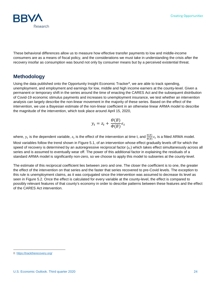

These behavioral differences allow us to measure how effective transfer payments to low and middle-income consumers are as a means of fiscal policy, and the considerations we must take in understanding the crisis after the recovery insofar as consumption was bound not only by consumer means but by a perceived existential threat.

### **Methodology**

Using the data published onto the Opportunity Insight Economic Tracker<sup>[8](#page-23-0)</sup>, we are able to track spending, unemployment, and employment and earnings for low, middle and high income earners at the county-level. Given a permanent or temporary shift in the series around the time of enacting the CARES Act and the subsequent distribution of Covid-19 economic stimulus payments and increases to unemployment insurance, we test whether an intervention analysis can largely describe the non-linear movement in the majority of these series. Based on the effect of the intervention, we use a Bayesian estimate of the non-linear coefficient in an otherwise linear ARMA model to describe the magnitude of the intervention, which took place around April 15, 2020,

$$
y_t = z_t + \frac{\Theta(B)}{\Phi(B)} \epsilon_t
$$

where,  $y_t$  is the dependent variable,  $z_t$  is the effect of the intervention at time t, and  $\frac{\theta(B)}{\Phi(B)} \epsilon_t$  is a fitted ARMA model. Most variables follow the trend shown in Figure 5.1, of an intervention whose effect gradually levels off for which the speed of recovery is determined by an autoregressive reciprocal factor  $(z_t)$  which takes effect simultaneously across all series and is assumed to eventually wear off. The power of this additional factor in explaining the residuals of a standard ARMA model is significantly non-zero, so we choose to apply this model to subseries at the county-level.

The estimate of this reciprocal coefficient lies between zero and one. The closer the coefficient is to one, the greater the effect of the intervention on that series and the faster that series recovered to pre-Covid levels. The exception to this rule is unemployment claims, as it was conjugated since the intervention was assumed to decrease its level as seen in Figure 5.2. Once the effect is calculated for every variable at the county-level, the effect is compared to possibly relevant features of that county's economy in order to describe patterns between these features and the effect of the CARES Act intervention.

j

<span id="page-23-0"></span><sup>8</sup>[: https://tracktherecovery.org/](https://tracktherecovery.org/)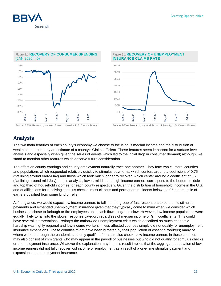



### Figure 5.1 **RECOVERY OF CONSUMER SPENDING**   $(JAN 2020 = 0)$

### Figure 5.2 **RECOVERY OF UNEMPLOYMENT INSURANCE CLAIMS RATE**



Source: BBVA Research, Harvard, Brown University, U.S. Census Bureau Source: BBVA Research, Harvard, Brown University, U.S. Census Bureau

# **Analysis**

The two main features of each county's economy we choose to focus on is median income and the distribution of wealth as measured by an estimate of a county's Gini coefficient. These features seem important for a surface-level analysis and especially when given the series of events which led to the initial drop in consumer demand; although, we stand to mention other features which deserve future consideration.

The effect on county earnings and county employment naturally trace one another. They form two clusters, counties and populations which responded relatively quickly to stimulus payments, which centers around a coefficient of 0.75 (flat lining around early-May) and those which took much longer to recover, which center around a coefficient of 0.20 (flat lining around mid-July). In this analysis, lower, middle and high income earners correspond to the bottom, middle and top third of household incomes for each county respectively. Given the distribution of household income in the U.S. and qualifications for receiving stimulus checks, most citizens and permanent residents below the 95th percentile of earners qualified from some kind of relief.

At first glance, we would expect low income earners to fall into the group of fast responders to economic stimulus payments and expanded unemployment insurance given that they typically come to mind when we consider which businesses chose to furlough or fire employees once cash flows began to slow. However, low income populations were equally likely to fall into the slower response category regardless of median income or Gini coefficients. This could have several interpretations. Perhaps the nationwide unemployment crisis which described so much economic hardship was highly regional and low-income workers in less affected counties simply did not qualify for unemployment insurance expansions. These counties might have been buffered by their population of essential workers; many of whom worked through the pandemic and only qualified for a stimulus check. Low-income earners in these counties may also consist of immigrants who may appear in the payroll of businesses but who did not qualify for stimulus checks or unemployment insurance. Whatever the explanation may be, this result implies that the aggregate population of lowincome earners did not fully recover lost income or employment as a result of a one-time stimulus payment and expansions to unemployment insurance.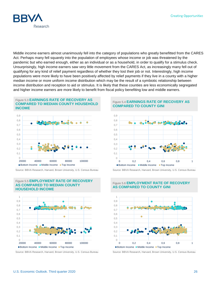

Middle income earners almost unanimously fell into the category of populations who greatly benefitted from the CARES Act. Perhaps many fell squarely into the population of employees whose income or job was threatened by the pandemic but who earned enough, either as an individual or as a household, in order to qualify for a stimulus check. Unsurprisingly, high income earners saw very little movement from the CARES Act, as increasingly many fell out of qualifying for any kind of relief payment regardless of whether they lost their job or not. Interestingly, high income populations were more likely to have been positively affected by relief payments if they live in a county with a higher median income or more uniform income distribution which may be the result of a symbiotic relationship between income distribution and reception to aid or stimulus. It is likely that these counties are less economically segregated and higher income earners are more likely to benefit from fiscal policy benefiting low and middle earners.

#### Figure 5.3 **EARNINGS RATE OF RECOVERY AS COMPARED TO MEDIAN COUNTY HOUSEHOLD INCOME**



Source: BBVA Research, Harvard, Brown University, U.S. Census Bureau Source: BBVA Research, Harvard, Brown University, U.S. Census Bureau

Figure 5.5 **EMPLOYMENT RATE OF RECOVERY** 

**AS COMPARED TO MEDIAN COUNTY** 



Source: BBVA Research, Harvard, Brown University, U.S. Census Bureau Source: BBVA Research, Harvard, Brown University, U.S. Census Bureau

#### Figure 5.4 **EARNINGS RATE OF RECOVERY AS COMPARED TO COUNTY GINI**





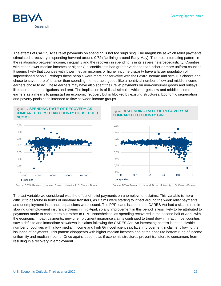

The effects of CARES Act's relief payments on spending is not too surprising. The magnitude at which relief payments stimulated a recovery in spending hovered around 0.72 (flat lining around Early-May). The most interesting pattern in the relationship between income, inequality and the recovery in spending is in its severe heteroscedasticity. Counties with either lower median incomes or higher Gini coefficients had greater variance than richer or more uniform counties. It seems likely that counties with lower median incomes or higher income disparity have a larger population of impoverished people. Perhaps these people were more conservative with their extra income and stimulus checks and chose to save more of it rather than spending it on durable goods like a nontrivial number of low and middle income earners chose to do. These earners may have also spent their relief payments on non-consumer goods and outlays like accrued debt obligations and rent. The implication is of fiscal stimulus which targets low and middle income earners as a means to jumpstart an economic recovery but is blocked by existing structures. Economic segregation and poverty pools cash intended to flow between income groups.



Figure 5.8 **SPENDING RATE OF RECOVERY AS COMPARED TO COUNTY GINI**



Source: BBVA Research, Harvard, Brown University, U.S. Census Bureau Source: BBVA Research, Harvard, Brown University, U.S. Census Bureau

The last variable we considered was the effect of relief payments on unemployment claims. This variable is more difficult to describe in terms of one-time transfers, as claims were starting to inflect around the week relief payments and unemployment insurance expansions were issued. The PPP loans issued in the CARES Act had a sizable role in slowing unemployment insurance claims in mid-April, so any improvement in this period is less likely to be attributed to payments made to consumers but rather to PPP. Nonetheless, as spending recovered in the second half of April, with the economic impact payments, new unemployment insurance claims continued to trend down. In fact, most counties saw a definite and immediate slowdown in claims following the CARES Act. An interesting pattern is that a sizable number of counties with a low median income and high Gini coefficient saw little improvement in claims following the issuance of payments. This pattern disappears with higher median incomes and at the absolute bottom rung of income uniformity and median income. Once again, it seems as if economic structures prevent transfers to consumers from resulting in a recovery in employment.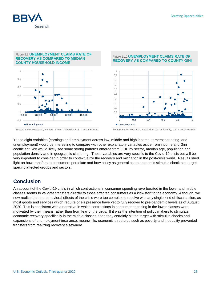

#### Figure 5.9 **UNEMPLOYMENT CLAIMS RATE OF RECOVERY AS COMPARED TO MEDIAN COUNTY HOUSEHOLD INCOME**



### Figure 5.10 **UNEMPLOYMENT CLAIMS RATE OF RECOVERY AS COMPARED TO COUNTY GINI**



Source: BBVA Research, Harvard, Brown University, U.S. Census Bureau Source: BBVA Research, Harvard, Brown University, U.S. Census Bureau

These eight variables (earnings and employment across low, middle and high income earners; spending; and unemployment) would be interesting to compare with other explanatory variables aside from income and Gini coefficient. We would likely see some strong patterns emerge from GDP by sector, median age, population and population density and in geographic clustering. These variables are very specific to the Covid-19 crisis but will be very important to consider in order to contextualize the recovery and mitigation in the post-crisis world. Results shed light on how transfers to consumers percolate and how policy as general as an economic stimulus check can target specific affected groups and sectors.

# **Conclusion**

An account of the Covid-19 crisis in which contractions in consumer spending reverberated in the lower and middle classes seems to validate transfers directly to those affected consumers as a kick-start to the economy. Although, we now realize that the behavioral effects of the crisis were too complex to resolve with any single kind of fiscal action, as most goods and services which require one's presence have yet to fully recover to pre-pandemic levels as of August 2020. This is consistent with a narrative in which contractions in consumer spending in the lower classes were motivated by their means rather than from fear of the virus. If it was the intention of policy makers to stimulate economic recovery specifically in the middle classes, then they certainly hit the target with stimulus checks and expansions of unemployment insurance; meanwhile, economic structures such as poverty and inequality prevented transfers from realizing recovery elsewhere.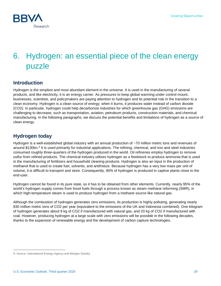

# <span id="page-28-0"></span>6. Hydrogen: an essential piece of the clean energy puzzle

# **Introduction**

Hydrogen is the simplest and most abundant element in the universe. It is used in the manufacturing of several products, and like electricity, it is an energy carrier. As pressures to keep global warming under control mount, businesses, scientists, and policymakers are paying attention to hydrogen and its potential role in the transition to a clean economy. Hydrogen is a clean source of energy; when it burns, it produces water instead of carbon dioxide (CO2). In particular, hydrogen could help decarbonize industries for which greenhouse gas (GHG) emissions are challenging to decrease, such as transportation, aviation, petroleum products, construction materials, and chemical manufacturing. In the following paragraphs, we discuss the potential benefits and limitations of hydrogen as a source of clean energy.

# **Hydrogen today**

Hydrogen is a well-established global industry with an annual production of ~70 million metric tons and revenues of around \$130bn.<sup>[9](#page-28-1)</sup> It is used primarily for industrial applications. The refining, chemical, and iron and steel industries consumed roughly three-quarters of the hydrogen produced in the world. Oil refineries employ hydrogen to remove sulfur from refined products. The chemical industry utilizes hydrogen as a feedstock to produce ammonia that is used in the manufacturing of fertilizers and household cleaning products. Hydrogen is also an input in the production of methanol that is used to create fuel, solvents, and antifreeze. Because hydrogen has a very low mass per unit of volume, it is difficult to transport and store. Consequently, 90% of hydrogen is produced in captive plants close to the end-user.

Hydrogen cannot be found in its pure state, so it has to be obtained from other elements. Currently, nearly 95% of the world's hydrogen supply comes from fossil fuels through a process known as steam methane reforming (SMR), in which high-temperature steam is used to produce hydrogen from a methane source like natural gas.

Although the combustion of hydrogen generates zero emissions, its production is highly polluting, generating nearly 830 million metric tons of CO2 per year (equivalent to the emissions of the UK and Indonesia combined). One kilogram of hydrogen generates about 9 kg of CO2 if manufactured with natural gas, and 20 kg of CO2 if manufactured with coal. However, producing hydrogen at a large scale with zero emissions will be possible in the following decades, thanks to the expansion of renewable energy and the development of carbon capture technologies.

j

<span id="page-28-1"></span><sup>9:</sup> Source: International Energy Agency and Morgan Stanley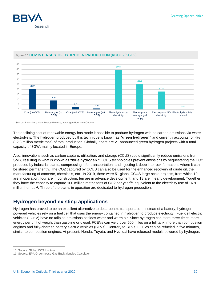



### Figure 6.1 **CO2 INTENSITY OF HYDROGEN PRODUCTION** (KGCO2/KGH2)

Source: Bloomberg New Energy Finance, Hydrogen Economy Outlook

The declining cost of renewable energy has made it possible to produce hydrogen with no carbon emissions via water electrolysis. The hydrogen produced by this technique is known as **"green hydrogen"** and currently accounts for 4% (~2.8 million metric tons) of total production. Globally, there are 21 announced green hydrogen projects with a total capacity of 3GW, mainly located in Europe.

Also, innovations such as carbon capture, utilization, and storage (CCUS) could significantly reduce emissions from SMR, resulting in what is known as **"blue hydrogen."** CCUS technologies prevent emissions by sequestering the CO2 produced by industrial plants, compressing it for transportation, and injecting it deep into rock formations where it can be stored permanently. The CO2 captured by CCUS can also be used for the enhanced recovery of crude oil, the manufacturing of concrete, chemicals, etc. In 2019, there were 51 global CCUS large-scale projects, from which 19 are in operation, four are in construction, ten are in advance development, and 18 are in early development. Together they have the capacity to capture 100 million metric tons of CO2 per year<sup>10</sup>, equivalent to the electricity use of 16.9 million homes<sup>11</sup>. Three of the plants in operation are dedicated to hydrogen production.

# **Hydrogen beyond existing applications**

Hydrogen has proved to be an excellent alternative to decarbonize transportation. Instead of a battery, hydrogenpowered vehicles rely on a fuel cell that uses the energy contained in hydrogen to produce electricity. Fuel-cell electric vehicles (FCEV) have no tailpipe emissions besides water and warm air. Since hydrogen can store three times more energy per unit of weight than gasoline or diesel, FCEVs can yield over 500 miles on a full tank, more than combustion engines and fully-charged battery electric vehicles (BEVs). Contrary to BEVs, FCEVs can be refueled in five minutes, similar to combustion engines. At present, Honda, Toyota, and Hyundai have released models powered by hydrogen.

-

<span id="page-29-0"></span><sup>10:</sup> Source: Global CCS Institute

<span id="page-29-1"></span><sup>11:</sup> Source: EPA Greenhouse Gas Equivalencies Calculator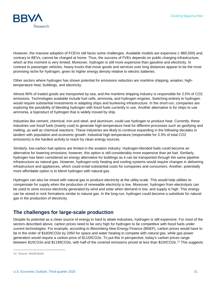

However, the massive adoption of FCEVs still faces some challenges. Available models are expensive (~\$60,000) and, contrary to BEVs, cannot be charged at home. Thus, the success of FVEs depends on public charging infrastructure, which at this moment is very limited. Moreover, hydrogen is still more expensive than gasoline and electricity. In contrast to passenger vehicles, heavy trucks that move goods and services over long distances appear to be the most promising niche for hydrogen, given its higher energy density relative to electric batteries.

Other sectors where hydrogen has shown potential for emissions reduction are maritime shipping, aviation, hightemperature heat, buildings, and electricity.

Almost 90% of traded goods are transported by sea, and the maritime shipping industry is responsible for 2.5% of CO2 emissions. Technologies available include fuel cells, ammonia, and hydrogen engines. Switching entirely to hydrogen would require substantial investments in adapting ships and bunkering infrastructure. In the short-run, companies are exploring the possibility of blending hydrogen with fossil fuels currently in use. Another alternative is for ships to use ammonia, a byproduct of hydrogen that is widely moved by ship.

Industries like cement, chemical, iron and steel, and aluminum, could use hydrogen to produce heat. Currently, these industries use fossil fuels (mainly coal) to generate high-temperature heat for different processes such as gasifying and melting, as well as chemical reactions. These industries are likely to continue expanding in the following decades in tandem with population and economic growth. Industrial high-temperature (responsible for 3.3% of total CO2 emissions) is the hardest activity to reach by clean energy sources.

Similarly, low-carbon fuel options are limited in the aviation industry. Hydrogen-blended fuels could become an alternative for lowering emissions; however, this option is still considerably more expensive than jet fuel. Similarly, hydrogen has been considered an energy alternative for buildings as it can be transported through the same pipeline infrastructure as natural gas. However, hydrogen-only heating and cooling systems would require changes in delivering infrastructure and appliances, which could entail substantial costs for companies and consumers. Another, potentially more affordable option is to blend hydrogen with natural gas.

Hydrogen can also be mixed with natural gas to produce electricity at the utility-scale. This would help utilities to compensate for supply when the production of renewable electricity is low. Moreover, hydrogen from electrolysis can be used to store excess electricity generated by wind and solar when demand is low, and supply is high. This energy can be stored in rock formations similar to natural gas. In the long-run, hydrogen could become a substitute for natural gas in the production of electricity.

### **The challenges for large-scale production**

Despite its potential as a clean source of energy in hard to abate industries, hydrogen is still expensive. For most of the sectors described above, carbon prices need to be very high for hydrogen to be competitive with fossil fuels under current technologies. For example, according to Bloomberg New Energy Finance (BNEF), carbon prices would have to be in the order of \$160/tCO2e by 2050 for space and water heating to compete with natural gas, while gas power generation would require a carbon price of \$115/tCO2e. To put this in perspective, today's carbon prices range between \$1/tCO2e and \$119/tCO2e, with half-of the covered emissions priced at less than \$10/tCO2e.<sup>[12](#page-30-0)</sup> This suggests

j

<span id="page-30-0"></span><sup>12:</sup> Source: World Bank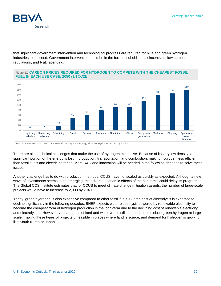

that significant government intervention and technological progress are required for blue and green hydrogen industries to succeed. Government intervention could be in the form of subsidies, tax incentives, low carbon regulations, and R&D spending.

### Figure 6.2 **CARBON PRICES REQUIRED FOR HYDROGEN TO COMPETE WITH THE CHEAPEST FOSSIL FUEL IN EACH USE CASE, 2050** (\$/TCO2E)



Source: BBVA Research with data from Bloomberg New Energy Finance, Hydrogen Economy Outlook

There are also technical challenges that make the use of hydrogen expensive. Because of its very low density, a significant portion of the energy is lost in production, transportation, and combustion, making hydrogen less efficient than fossil fuels and electric batteries. More R&D and innovation will be needed in the following decades to solve these issues.

Another challenge has to do with production methods. CCUS have not scaled as quickly as expected. Although a new wave of investments seems to be emerging, the adverse economic effects of the pandemic could delay its progress. The Global CCS Institute estimates that for CCUS to meet climate change mitigation targets, the number of large-scale projects would have to increase to 2,000 by 2040.

Today, green hydrogen is also expensive compared to other fossil fuels. But the cost of electrolysis is expected to decline significantly in the following decades. BNEF expects water electrolysis powered by renewable electricity to become the cheapest form of hydrogen production in the long-term due to the declining cost of renewable electricity and electrolyzers. However, vast amounts of land and water would still be needed to produce green hydrogen at large scale, making these types of projects unfeasible in places where land is scarce, and demand for hydrogen is growing like South Korea or Japan.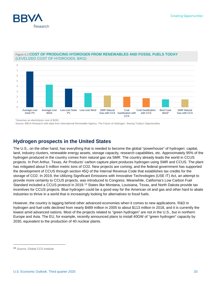



### Figure 6.3 **COST OF PRODUCING HYDROGEN FROM RENEWABLES AND FOSSIL FUELS TODAY** (LEVELIZED COST OF HYDROGEN, \$/KG)

\*Assumes an electrolyzer cost of \$200.

Source: BBVA Research with data from International Renewable Agency, The Future of Hydrogen. Seizing Today's Opportunities

# **Hydrogen prospects in the United States**

The U.S., on the other hand, has everything that is needed to become the global "powerhouse" of hydrogen: capital, land, industry clusters, renewable energy assets, storage capacity, research capabilities, etc. Approximately 95% of the hydrogen produced in the country comes from natural gas via SMR. The country already leads the world in CCUS projects. In Port Arthur, Texas, Air Products' carbon capture plant produces hydrogen using SMR and CCUS. The plant has mitigated about 5 million metric tons of CO2. New projects are coming, and the federal government has supported the development of CCUS through section 45Q of the Internal Revenue Code that establishes tax credits for the storage of CO2. In 2019, the Utilizing Significant Emissions with Innovative Technologies (USE IT) Act, an attempt to provide more certainty to CCUS projects, was introduced to Congress. Meanwhile, California's Low Carbon Fuel Standard included a CCUS protocol in 2019.<sup>[13](#page-32-0)</sup> States like Montana, Louisiana, Texas, and North Dakota provide tax incentives for CCUS projects. Blue hydrogen could be a good way for the American oil and gas and other hard to abate industries to thrive in a world that is increasingly looking for alternatives to fossil fuels.

However, the country is lagging behind other advanced economies when it comes to new applications. R&D in hydrogen and fuel cells declined from nearly \$489 million in 2005 to about \$113 million in 2018, and it is currently the lowest amid advanced nations. Most of the projects related to "green hydrogen" are not in the U.S., but in northern Europe and Asia. The EU, for example, recently announced plans to install 40GW of "green hydrogen" capacity by 2030, equivalent to the production of 40 nuclear plants.

<span id="page-32-0"></span><sup>13</sup> Source: Global CCS Institute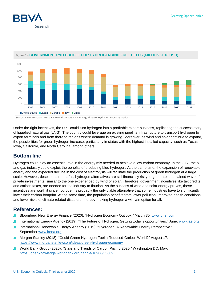



### Figure 6.4 **GOVERNMENT R&D BUDGET FOR HYDROGEN AND FUEL CELLS** (MILLION 2018 USD)

Source: BBVA Research with data from Bloomberg New Energy Finance, Hydrogen Economy Outlook

Under the right incentives, the U.S. could turn hydrogen into a profitable export business, replicating the success story of liquefied natural gas (LNG). The country could leverage on existing pipeline infrastructure to transport hydrogen to export terminals and from there to regions where demand is growing. Moreover, as wind and solar continue to expand, the possibilities for green hydrogen increase, particularly in states with the highest installed capacity, such as Texas, Iowa, California, and North Carolina, among others.

### **Bottom line**

Hydrogen could play an essential role in the energy mix needed to achieve a low-carbon economy. In the U.S., the oil and gas industry could exploit the benefits of producing blue hydrogen. At the same time, the expansion of renewable energy and the expected decline in the cost of electrolysis will facilitate the production of green hydrogen at a large scale. However, despite their benefits, hydrogen alternatives are still financially risky to generate a sustained wave of private investments, similar to the one experienced by wind or solar. Therefore, government incentives like tax credits, and carbon taxes, are needed for the industry to flourish. As the success of wind and solar energy proves, these incentives are worth it since hydrogen is probably the only viable alternative that some industries have to significantly lower their carbon footprint. At the same time, the population benefits from lower pollution, improved health conditions, and lower risks of climate-related disasters, thereby making hydrogen a win-win option for all.

# **References:**

- Bloomberg New Energy Finance (2020). "Hydrogen Economy Outlook." March 30. [www.bnef.com](http://www.bnef.com/)
- International Energy Agency (2019). "The Future of Hydrogen. Seizing today's opportunities." June. [www.iae.org](http://www.iae.org/)
- International Renewable Energy Agency (2019). "Hydrogen: A Renewable Energy Perspective." September.www.irena.org
- Morgan Stanley (2018). "Could Green Hydrogen Fuel a Reduced-Carbon World?" August 17. <https://www.morganstanley.com/ideas/green-hydrogen-economy>
- World Bank Group (2020). "State and Trends of Carbon Pricing 2020." Washington DC, May. <https://openknowledge.worldbank.org/handle/10986/33809>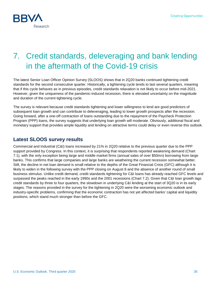

# <span id="page-34-0"></span>7. Credit standards, deleveraging and bank lending in the aftermath of the Covid-19 crisis

The latest Senior Loan Officer Opinion Survey (SLOOS) shows that in 2Q20 banks continued tightening credit standards for the second consecutive quarter. Historically, a tightening cycle tends to last several quarters, meaning that if this cycle behaves as in previous episodes, credit standards relaxation is not likely to occur before mid-2021. However, given the uniqueness of the pandemic-induced recession, there is elevated uncertainty on the magnitude and duration of the current tightening cycle.

The survey is relevant because credit standards tightening and lower willingness to lend are good predictors of subsequent loan growth and can contribute to deleveraging, leading to lower growth prospects after the recession. Going forward, after a one-off contraction of loans outstanding due to the repayment of the Paycheck Protection Program (PPP) loans, the survey suggests that underlying loan growth will moderate. Obviously, additional fiscal and monetary support that provides ample liquidity and lending on attractive terms could delay or even reverse this outlook.

### **Latest SLOOS survey results**

Commercial and Industrial (C&I) loans increased by 21% in 2Q20 relative to the previous quarter due to the PPP support provided by Congress. In this context, it is surprising that respondents reported weakening demand (Chart 7.1), with the only exception being large and middle market firms (annual sales of over \$50mn) borrowing from large banks. This confirms that large companies and large banks are weathering the current recession somewhat better. Still, the decline in net loan demand is small relative to the depths of the Great Financial Crisis (GFC) although it is likely to widen in the following survey with the PPP closing on August 8 and the absence of another round of small business stimulus. Unlike credit demand, credit standards tightening for C&I loans has already reached GFC levels and surpassed the peaks reached in the early 1990s and the 2001 recessions (Chart 7.2). Given that C&I loan growth lags credit standards by three to four quarters, the slowdown in underlying C&I lending at the start of 3Q20 is in its early stages. The reasons provided in the survey for the tightening in 2Q20 were the worsening economic outlook and industry-specific problems, confirming that the economic contraction has not yet affected banks' capital and liquidity positions, which stand much stronger than before the GFC.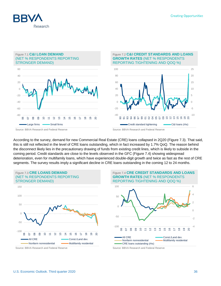



According to the survey, demand for new Commercial Real Estate (CRE) loans collapsed in 2Q20 (Figure 7.3). That said, this is still not reflected in the level of CRE loans outstanding, which in fact increased by 1.7% QoQ. The reason behind the disconnect likely lies in the precautionary drawing of funds from existing credit lines, which is likely to subside in the coming period. Credit standards are close to the levels observed in the GFC (Figure 7.4) showing widespread deterioration, even for multifamily loans, which have experienced double-digit growth and twice as fast as the rest of CRE segments. The survey results imply a significant decline in CRE loans outstanding in the coming 12 to 24 months.



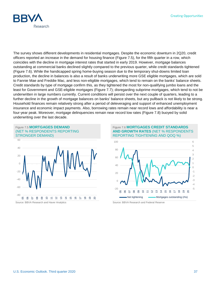

The survey shows different developments in residential mortgages. Despite the economic downturn in 2Q20, credit officers reported an increase in the demand for housing finance (Figure 7.5), for the fifth quarter in a row, which coincides with the decline in mortgage interest rates that started in early 2019. However, mortgage balances outstanding at commercial banks declined slightly compared to the previous quarter, while credit standards tightened (Figure 7.6). While the handicapped spring home-buying season due to the temporary shut-downs limited loan production, the decline in balances is also a result of banks underwriting more GSE eligible mortgages, which are sold to Fannie Mae and Freddie Mac, and less non-eligible mortgages, which tend to remain on the banks' balance sheets. Credit standards by type of mortgage confirm this, as they tightened the most for non-qualifying jumbo loans and the least for Government and GSE-eligible mortgages (Figure 7.7); disregarding subprime mortgages, which tend to not be underwritten in large numbers currently. Current conditions will persist over the next couple of quarters, leading to a further decline in the growth of mortgage balances on banks' balance sheets, but any pullback is not likely to be strong. Household finances remain relatively strong after a period of deleveraging and support of enhanced unemployment insurance and economic impact payments. Also, borrowing rates remain near record lows and affordability is near a four-year peak. Moreover, mortgage delinquencies remain near record low rates (Figure 7.8) buoyed by solid underwriting over the last decade.



### Figure 7.6 **MORTGAGES CREDIT STANDARDS AND GROWTH RATES** (NET % RESPONDENTS REPORTING TIGHTENING AND QOQ %)

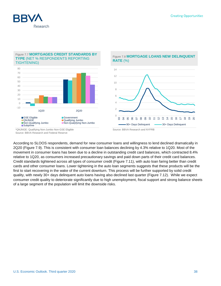

### Figure 7.7 **MORTGAGES CREDIT STANDARDS BY TYPE** (NET % RESPONDENTS REPORTING TIGHTENING)



### Figure 7.8 **MORTGAGE LOANS NEW DELINQUENT RATE** (%)



According to SLOOS respondents, demand for new consumer loans and willingness to lend declined dramatically in 2Q20 (Figure 7.9). This is consistent with consumer loan balances declining by 4.3% relative to 1Q20. Most of the movement in consumer loans has been due to a decline in outstanding credit card balances, which contracted 8.4% relative to 1Q20, as consumers increased precautionary savings and paid down parts of their credit card balances. Credit standards tightened across all types of consumer credit (Figure 7.11), with auto loan faring better than credit cards and other consumer loans. Lower tightening in the auto loan segments suggests that these products will be the first to start recovering in the wake of the current downturn. This process will be further supported by solid credit quality, with newly 30+ days delinquent auto loans having also declined last quarter (Figure 7.12). While we expect consumer credit quality to deteriorate significantly due to high unemployment, fiscal support and strong balance sheets of a large segment of the population will limit the downside risks.

<sup>\*</sup>QNJNGE: Qualifying Non-Jumbo Non-GSE Eligible Source: BBVA Research and Federal Reserve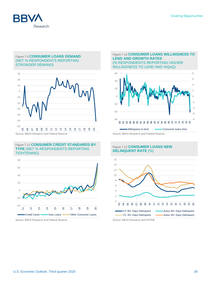

### Figure 7.9 **CONSUMER LOANS DEMAND** (NET % RESPONDENTS REPORTING STRONGER DEMAND)



Source: BBVA Research and Federal Reserve Source: BBVA Research and Federal Reserve

#### Figure 7.11 **CONSUMER CREDIT STANDARDS BY TYPE** (NET % RESPONDENTS REPORTING TIGHTENING)



#### Figure 7.10 **CONSUMER LOANS WILLINGNESS TO LEND AND GROWTH RATES** (% RESPONDENTS REPORTING HIGHER WILLINGNESS TO LEND AND %QoQ)



### Figure 7.12 **CONSUMER LOANS NEW DELINQUENT RATE** (%)

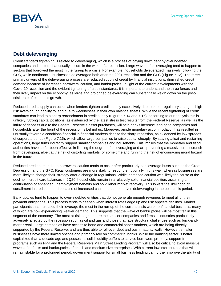

# **Debt deleveraging**

Credit standard tightening is related to deleveraging, which is a process of paying down debt by overindebted companies and sectors that usually occurs in the wake of a recession. Large waves of deleveraging tend to happen to sectors that borrowed the most in the run-up to a crisis. For example, households deleveraged massively following the GFC, while nonfinancial businesses deleveraged both after the 2001 recession and the GFC (Figure 7.13). The three primary drivers of the deleveraging process are reduced supply of credit by financial institutions, diminished credit demand because of increased borrowers' caution, and bankruptcies. In light of the current developments with the Covid-19 recession and the evident tightening of credit standards, it is important to understand the three forces and their likely impact on the economy, as large and prolonged deleveraging can substantially weigh down on the postcrisis rate of economic growth.

Reduced credit supply can occur when lenders tighten credit supply excessively due to either regulatory changes, high risk aversion, or inability to lend due to weaknesses in their own balance sheets. While the recent tightening of credit standards can lead to a sharp retrenchment in credit supply (Figures 7.14 and 7.15), according to our analysis this is unlikely. Strong capital positions, as evidenced by the latest stress test results from the Federal Reserve, as well as the influx of deposits due to the Federal Reserve's asset purchases, will help banks increase lending to companies and households after the brunt of the recession is behind us. Moreover, ample monetary accommodation has resulted in unusually favorable conditions financial in financial markets despite the sharp recession, as evidenced by low spreads of corporate bonds (Figure 7.16), which allow large companies to raise capital cheaply. By staying afloat and restarting operations, large firms indirectly support smaller companies and households. This implies that the monetary and fiscal authorities have so far been effective in limiting the degree of deleveraging and are preventing a massive credit crunch from developing, albeit at the risk of distorting markets for some time and running the risk of encouraging moral hazard in the future.

Reduced credit demand due borrowers' caution tends to occur after particularly bad leverage busts such as the Great Depression and the GFC. Retail customers are more likely to respond emotionally in this way, whereas businesses are more likely to change their strategy after a change in regulations. While increased caution was likely the cause of the decline in credit card balances in 2Q20, households remain in a relatively solid financial position, assuming a continuation of enhanced unemployment benefits and solid labor market recovery. This lowers the likelihood of curtailment in credit demand because of increased caution that then drives deleveraging in the post-crisis period.

Bankruptcies tend to happen to over-indebted entities that do not generate enough revenues to meet all of their payment obligations. This process tends to deepen when interest rates edge up and risk appetite declines. Market participants that increased their leverage the most in the run-up of the current crisis were nonfinancial business, many of which are now experiencing weaker demand. This suggests that the wave of bankruptcies will be most felt in this segment of the economy. The most at-risk segment are the smaller companies and firms in industries particularily adversely affected by the recession such as oil and gas and those that face structural challenges such as brick-andmortar retail. Large companies have access to bond and commercial paper markets, which are being directly supported by the Federal Reserve, and are thus able to roll-over debt and push maturity walls. However, smaller businesses have more limited options and primarily rely on commercial banks. While the banking sector is better capitalized than a decade ago and possesses solid liquidity buffers to service borrowers properly, support from programs such as PPP and the Federal Reserve's Main Street Lending Program will also be critical to avoid massive waves of defaults and bankruptcies of small- and medium-size enterprises. With current low interest rates that will remain stable for a prolonged period, government support for small business lending can further improve the ability of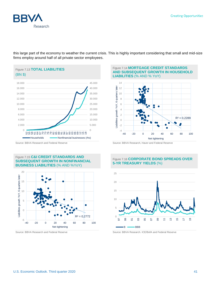

this large part of the economy to weather the current crisis. This is highly important considering that small and mid-size firms employ around half of all private sector employees.



#### Figure 7.14 **MORTGAGE CREDIT STANDARDS AND SUBSEQUENT GROWTH IN HOUSEHOLD LIABILITIES** (% AND % YoY)







### Figure 7.16 **CORPORATE BOND SPREADS OVER 5-YR TREASURY YIELDS** (%)



Source: BBVA Research and Federal Reserve Source: BBVA Research. ICE/BofA and Federal Reserve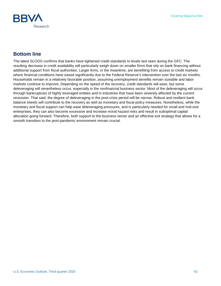

# **Bottom line**

The latest SLOOS confirms that banks have tightened credit standards to levels last seen during the GFC. The resulting decrease in credit availability will particularly weigh down on smaller firms that rely on bank financing without additional support from fiscal authorities. Larger firms, in the meantime, are benefiting from access to credit markets where financial conditions have eased significantly due to the Federal Reserve's intervention over the last six months. Households remain in a relatively favorable position, assuming unemployment benefits remain sizeable and labor markets continue to improve. Depending on the speed of the recovery, credit standards will ease, but some deleveraging will nevertheless occur, especially in the nonfinancial business sector. Most of the deleveraging will occur through bankruptcies of highly leveraged entities and in industries that have been severely affected by the current recession. That said, the degree of deleveraging in the post-crisis period will be narrow. Robust and resilient bank balance sheets will contribute to the recovery as well as monetary and fiscal policy measures. Nonetheless, while the monetary and fiscal support can help ease deleveraging pressures, and is particularly needed for small and mid-size enterprises, they can also become excessive and increase moral hazard risks and result in suboptimal capital allocation going forward. Therefore, both support to the business sector and an effective exit strategy that allows for a smooth transition to the post-pandemic environment remain crucial.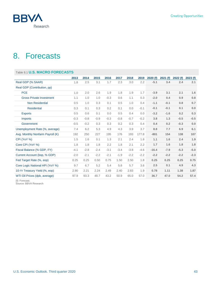

# <span id="page-42-0"></span>8. Forecasts

| Table 8.1 U.S. MACRO FORECASTS   |        |        |        |        |        |        |        |         |         |          |         |
|----------------------------------|--------|--------|--------|--------|--------|--------|--------|---------|---------|----------|---------|
|                                  | 2013   | 2014   | 2015   | 2016   | 2017   | 2018   | 2019   | 2020(f) | 2021(f) | 2022 (f) | 2023(f) |
| Real GDP (% SAAR)                | 1.8    | 2.5    | 3.1    | 1.7    | 2.3    | 3.0    | 2.2    | $-5.1$  | 3.4     | 2.4      | 2.1     |
| Real GDP (Contribution, pp)      |        |        |        |        |        |        |        |         |         |          |         |
| <b>PCE</b>                       | 1.0    | 2.0    | 2.6    | 1.9    | 1.8    | 1.9    | 1.7    | $-3.9$  | 3.1     | 2.1      | 1.6     |
| <b>Gross Private Investment</b>  | 1.1    | 1.0    | 1.0    | $-0.3$ | 0.6    | 1.1    | 0.3    | $-2.0$  | 0.4     | 0.9      | 0.8     |
| <b>Non Residential</b>           | 0.5    | 1.0    | 0.3    | 0.1    | 0.5    | 1.0    | 0.4    | $-1.1$  | $-0.1$  | 0.8      | 0.7     |
| <b>Residential</b>               | 0.3    | 0.1    | 0.3    | 0.2    | 0.1    | 0.0    | $-0.1$ | $-0.1$  | $-0.1$  | 0.1      | 0.0     |
| <b>Exports</b>                   | 0.5    | 0.6    | 0.1    | 0.0    | 0.5    | 0.4    | 0.0    | $-3.2$  | $-1.6$  | 0.2      | 0.3     |
| <b>Imports</b>                   | $-0.3$ | $-0.8$ | $-0.9$ | $-0.3$ | $-0.8$ | $-0.7$ | $-0.2$ | 3.8     | 1.3     | $-0.5$   | $-0.5$  |
| Government                       | $-0.5$ | $-0.2$ | 0.3    | 0.3    | 0.2    | 0.3    | 0.4    | 0.4     | 0.2     | $-0.3$   | 0.0     |
| Unemployment Rate (%, average)   | 7.4    | 6.2    | 5.3    | 4.9    | 4.3    | 3.9    | 3.7    | 8.8     | 7.7     | 6.9      | 6.1     |
| Avg. Monthly Nonfarm Payroll (K) | 192    | 250    | 227    | 195    | 176    | 193    | 177.8  | $-801$  | 154     | 138      | 107     |
| CPI (YoY %)                      | 1.5    | 1.6    | 0.1    | 1.3    | 2.1    | 2.4    | 1.8    | 1.1     | 1.6     | 2.4      | 1.9     |
| Core CPI (YoY %)                 | 1.8    | 1.8    | 1.8    | 2.2    | 1.8    | 2.1    | 2.2    | 1.7     | 1.6     | 1.8      | 1.8     |
| Fiscal Balance (% GDP, FY)       | $-4.1$ | $-2.8$ | $-2.4$ | $-3.1$ | $-3.4$ | $-3.8$ | $-4.6$ | $-16.4$ | $-7.9$  | $-5.3$   | $-5.0$  |
| Current Account (bop, % GDP)     | $-2.0$ | $-2.1$ | $-2.2$ | $-2.1$ | $-1.9$ | $-2.2$ | $-2.2$ | $-2.2$  | $-2.2$  | $-2.2$   | $-2.3$  |
| Fed Target Rate (%, eop)         | 0.25   | 0.25   | 0.50   | 0.75   | 1.50   | 2.50   | 1.8    | 0.25    | 0.25    | 0.25     | 0.75    |
| Core Logic National HPI (YoY %)  | 9.7    | 6.7    | 5.2    | 5.4    | 5.8    | 5.7    | 3.6    | 2.5     | 0.1     | 4.9      | 4.3     |
| 10-Yr Treasury Yield (%, eop)    | 2.90   | 2.21   | 2.24   | 2.49   | 2.40   | 2.83   | 1.9    | 0.78    | 1.11    | 1.38     | 1.87    |
| WTI Oil Prices (dpb, average)    | 97.9   | 93.3   | 48.7   | 43.2   | 50.9   | 65.0   | 57.0   | 36.7    | 47.0    | 54.2     | 57.4    |

(f): Forecast.

Source: BBVA Research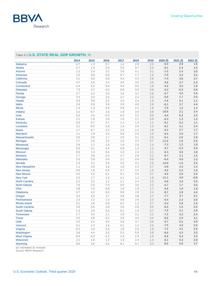

### Table 8.2 **U.S. STATE REAL GDP GROWTH,** %

|                       | 2014   | 2015   | 2016   | 2017   | 2018 | 2019  | 2020 (f) | 2021 (f) | 2022 (f) |
|-----------------------|--------|--------|--------|--------|------|-------|----------|----------|----------|
| Alabama               | $-0.7$ | 1.3    | 0.7    | 1.2    | 2.8  | 2.3   | $-6.0$   | 2.8      | 1.6      |
| Alaska                | $-2.7$ | 1.0    | $-2.0$ | 0.0    | 0.7  | 2.5   | $-5.1$   | 2.3      | 4.2      |
| Arizona               | 1.3    | 2.4    | 3.2    | 3.5    | 4.1  | 3.1   | $-7.5$   | 2.4      | 3.5      |
| <b>Arkansas</b>       | 1.0    | 0.8    | 0.6    | 0.7    | 1.7  | 1.8   | $-7.5$   | 3.4      | 3.2      |
| California            | 4.1    | 5.0    | 3.0    | 4.4    | 4.3  | 2.6   | $-7.4$   | 3.6      | 3.7      |
| Colorado              | 4.7    | 4.6    | 2.4    | 4.0    | 3.5  | 3.5   | $-3.6$   | 3.7      | 2.4      |
| Connecticut           | $-1.4$ | 2.2    | 0.0    | 0.4    | 0.5  | 1.6   | $-4.2$   | 3.0      | 1.9      |
| <b>Delaware</b>       | 7.3    | 3.7    | $-4.2$ | $-0.6$ | 0.0  | 0.8   | $-3.3$   | $-0.3$   | 0.8      |
| Florida               | 2.7    | 4.2    | 3.3    | 3.4    | 3.2  | 2.8   | $-6.7$   | 4.0      | 3.6      |
| Georgia               | 3.3    | 3.4    | 3.5    | 3.7    | 2.4  | 2.0   | $-5.6$   | 1.7      | 2.6      |
| Hawaii                | 0.3    | 3.6    | 2.2    | 2.3    | 2.4  | 1.0   | $-7.6$   | 0.1      | 1.1      |
| Idaho                 | 2.6    | 2.8    | 3.9    | 3.5    | 4.0  | 2.8   | $-6.1$   | 3.7      | 4.4      |
| <b>Illinois</b>       | 1.4    | 1.3    | 0.4    | 0.9    | 2.1  | 1.6   | $-7.0$   | 1.2      | 1.2      |
| Indiana               | 3.2    | $-0.7$ | 1.6    | 1.9    | 2.0  | 0.8   | $-10.6$  | 2.1      | 2.4      |
| lowa                  | 5.4    | 2.6    | $-0.3$ | $-0.3$ | 2.2  | 0.9   | $-4.4$   | 6.2      | 3.4      |
| <b>Kansas</b>         | 2.1    | 1.9    | 2.6    | 1.0    | 2.1  | 0.9   | $-6.3$   | 1.3      | 1.3      |
| Kentucky              | 0.3    | 0.7    | 0.7    | 1.1    | 1.4  | 1.1   | $-9.1$   | 0.2      | 1.1      |
| Louisiana             | 3.1    | $-0.5$ | $-1.8$ | 1.4    | 2.6  | 1.3   | $-8.1$   | 4.1      | 2.4      |
| <b>Maine</b>          | 1.7    | 0.7    | 2.2    | 2.2    | 2.2  | 1.9   | $-5.2$   | 2.7      | 1.7      |
| Maryland              | 1.1    | 1.9    | 3.4    | 0.9    | 2.5  | $1.5$ | $-6.4$   | 2.5      | 1.7      |
| <b>Massachusetts</b>  | 2.0    | 3.8    | 1.7    | 2.5    | 3.1  | 2.5   | $-6.1$   | 2.0      | 1.8      |
| Michigan              | 1.7    | 2.5    | 2.2    | 1.5    | 2.5  | 0.7   | $-11.6$  | 1.6      | 2.0      |
| Minnesota             | 2.9    | 1.2    | 1.9    | 1.9    | 2.6  | 1.4   | $-7.3$   | 1.2      | 1.9      |
| <b>Mississippi</b>    | 0.5    | 0.1    | 0.4    | 0.9    | 1.3  | 1.3   | $-4.7$   | $-2.3$   | 0.9      |
| <b>Missouri</b>       | 0.5    | 1.3    | $-0.4$ | 1.0    | 2.4  | 2.1   | $-6.3$   | 4.6      | 1.8      |
| Montana               | 1.7    | 3.9    | $-1.4$ | 1.7    | 2.6  | 2.1   | $-8.7$   | 2.1      | 1.5      |
| Nebraska              | 2.0    | 2.9    | 0.4    | 2.1    | 0.9  | 0.6   | $-6.4$   | 4.0      | 1.2      |
| Nevada                | 1.3    | 4.2    | 2.9    | 3.2    | 4.2  | 2.9   | $-14.0$  | $-1.8$   | 2.3      |
| <b>New Hampshire</b>  | 1.1    | 2.8    | 1.8    | 1.8    | 2.3  | 2.7   | $-4.9$   | 3.3      | 1.4      |
| <b>New Jersey</b>     | 0.5    | 1.8    | 0.9    | 0.7    | 2.2  | 1.5   | $-3.0$   | 2.2      | 1.0      |
| <b>New Mexico</b>     | 3.2    | 2.2    | 0.1    | 0.1    | 2.5  | 3.7   | $-4.0$   | 2.8      | 2.0      |
| <b>New York</b>       | 2.3    | 1.7    | 1.3    | 2.1    | 1.2  | 1.8   | $-11.1$  | 4.9      | $-0.8$   |
| <b>North Carolina</b> | 2.2    | 3.2    | 1.2    | 2.1    | 2.4  | 2.3   | $-5.9$   | 3.4      | 3.0      |
| <b>North Dakota</b>   | 7.6    | $-2.9$ | $-7.0$ | 0.0    | 3.6  | 2.3   | $-4.7$   | 1.7      | 0.6      |
| Ohio                  | 3.8    | 1.5    | 0.8    | 1.6    | 1.9  | 1.7   | $-5.6$   | 1.8      | 1.8      |
| Oklahoma              | 5.7    | 4.3    | $-3.0$ | 0.8    | 2.6  | 2.4   | $-8.7$   | 2.8      | 4.4      |
| Oregon                | 3.4    | 5.6    | 4.7    | 3.8    | 3.8  | 2.7   | $-7.7$   | 3.7      | 4.1      |
| Pennsylvania          | 2.3    | 2.2    | 1.3    | 0.6    | 2.6  | 2.3   | $-5.4$   | 2.3      | 2.6      |
| <b>Rhode Island</b>   | 0.1    | 1.8    | 0.0    | $-0.2$ | 1.2  | 2.7   | $-3.3$   | 2.8      | 1.5      |
| South Carolina        | 2.6    | 3.5    | 2.9    | 3.3    | 2.6  | 3.0   | $-6.5$   | 1.5      | 2.5      |
| South Dakota          | 1.3    | 2.9    | 0.5    | $-0.1$ | 1.9  | 0.7   | $-7.5$   | 5.1      | 2.8      |
| <b>Tennessee</b>      | 1.7    | 3.4    | 2.1    | 1.9    | 3.1  | 2.2   | $-7.5$   | 3.3      | 2.4      |
| <b>Texas</b>          | 3.5    | 4.8    | 0.2    | 2.9    | 4.0  | 4.4   | $-6.6$   | 2.5      | 4.1      |
| Utah                  | 3.2    | 4.1    | 4.0    | 3.9    | 3.7  | 3.8   | $-5.7$   | 5.2      | 3.9      |
| Vermont               | 0.1    | 1.3    | 1.6    | 0.1    | 1.2  | 2.5   | $-7.5$   | 4.2      | 2.0      |
| Virginia              | $-0.2$ | 2.0    | 0.4    | 1.8    | 2.6  | 1.9   | $-7.2$   | 4.1      | 3.5      |
| Washington            | 3.6    | 4.4    | 3.5    | 5.2    | 5.8  | 3.8   | $-8.5$   | 4.3      | 3.3      |
| <b>West Virginia</b>  | $-0.4$ | $-0.2$ | $-1.2$ | 1.5    | 2.3  | 1.0   | $-5.6$   | 3.4      | 3.3      |
| Wisconsin             | 2.1    | 1.8    | 1.2    | 1.3    | 2.4  | 1.4   | $-8.1$   | 5.3      | 2.8      |
| Wyoming               | 0.6    | 2.6    | $-4.2$ | $-0.1$ | 0.1  | 3.3   | $-8.6$   | 2.8      | 3.7      |

(e): estimated; (f): forecast

Source: BBVA Research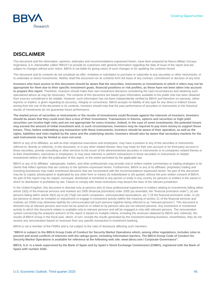

# **DISCLAIMER**

This document and the information, opinions, estimates and recommendations expressed herein, have been prepared by Banco Bilbao Vizcaya Argentaria, S.A. (hereinafter called "BBVA") to provide its customers with general information regarding the date of issue of the report and are subject to changes without prior notice. BBVA is not liable for giving notice of such changes or for updating the contents hereof.

This document and its contents do not constitute an offer, invitation or solicitation to purchase or subscribe to any securities or other instruments, or to undertake or divest investments. Neither shall this document nor its contents form the basis of any contract, commitment or decision of any kind.

**Investors who have access to this document should be aware that the securities, instruments or investments to which it refers may not be appropriate for them due to their specific investment goals, financial positions or risk profiles, as these have not been taken into account to prepare this report**. Therefore, investors should make their own investment decisions considering the said circumstances and obtaining such specialized advice as may be necessary. The contents of this document are based upon information available to the public that has been obtained from sources considered to be reliable. However, such information has not been independently verified by BBVA and therefore no warranty, either express or implicit, is given regarding its accuracy, integrity or correctness. BBVA accepts no liability of any type for any direct or indirect losses arising from the use of the document or its contents. Investors should note that the past performance of securities or instruments or the historical results of investments do not guarantee future performance.

**The market prices of securities or instruments or the results of investments could fluctuate against the interests of investors. Investors should be aware that they could even face a loss of their investment. Transactions in futures, options and securities or high-yield securities can involve high risks and are not appropriate for every investor. Indeed, in the case of some investments, the potential losses may exceed the amount of initial investment and, in such circumstances, investors may be required to pay more money to support those losses. Thus, before undertaking any transaction with these instruments, investors should be aware of their operation, as well as the rights, liabilities and risks implied by the same and the underlying stocks. Investors should also be aware that secondary markets for the said instruments may be limited or even not exist.**

BBVA or any of its affiliates, as well as their respective executives and employees, may have a position in any of the securities or instruments referred to, directly or indirectly, in this document, or in any other related thereto; they may trade for their own account or for third-party account in those securities, provide consulting or other services to the issuer of the aforementioned securities or instruments or to companies related thereto or to their shareholders, executives or employees, or may have interests or perform transactions in those securities or instruments or related investments before or after the publication of this report, to the extent permitted by the applicable law.

BBVA or any of its affiliates´ salespeople, traders, and other professionals may provide oral or written market commentary or trading strategies to its clients that reflect opinions that are contrary to the opinions expressed herein. Furthermore, BBVA or any of its affiliates' proprietary trading and investing businesses may make investment decisions that are inconsistent with the recommendations expressed herein. No part of this document may be (i) copied, photocopied or duplicated by any other form or means (ii) redistributed or (iii) quoted, without the prior written consent of BBVA. No part of this report may be copied, conveyed, distributed or furnished to any person or entity in any country (or persons or entities in the same) in which its distribution is prohibited by law. Failure to comply with these restrictions may breach the laws of the relevant jurisdiction.

In the United Kingdom, this document is directed only at persons who (i) have professional experience in matters relating to investments falling within article 19(5) of the financial services and markets act 2000 (financial promotion) order 2005 (as amended, the "financial promotion order"), (ii) are persons falling within article 49(2) (a) to (d) ("high net worth companies, unincorporated associations, etc.") Of the financial promotion order, or (iii) are persons to whom an invitation or inducement to engage in investment activity (within the meaning of section 21 of the financial services and markets act 2000) may otherwise lawfully be communicated (all such persons together being referred to as "relevant persons"). This document is directed only at relevant persons and must not be acted on or relied on by persons who are not relevant persons. Any investment or investment activity to which this document relates is available only to relevant persons and will be engaged in only with relevant persons. The remuneration system concerning the analyst/s author/s of this report is based on multiple criteria, including the revenues obtained by BBVA and, indirectly, the results of BBVA Group in the fiscal year, which, in turn, include the results generated by the investment banking business; nevertheless, they do not receive any remuneration based on revenues from any specific transaction in investment banking.

BBVA is not a member of the FINRA and is not subject to the rules of disclosure affecting such members.

**"BBVA is subject to the BBVA Group Code of Conduct for Security Market Operations which, among other regulations, includes rules to prevent and avoid conflicts of interests with the ratings given, including information barriers. The BBVA Group Code of Conduct for Security Market Operations is available for reference at the following web site: www.bbva.com / Corporate Governance".**

**BBVA, S.A. is a bank supervised by the Bank of Spain and by Spain's Stock Exchange Commission (CNMV), registered with the Bank of Spain with number 0182.**